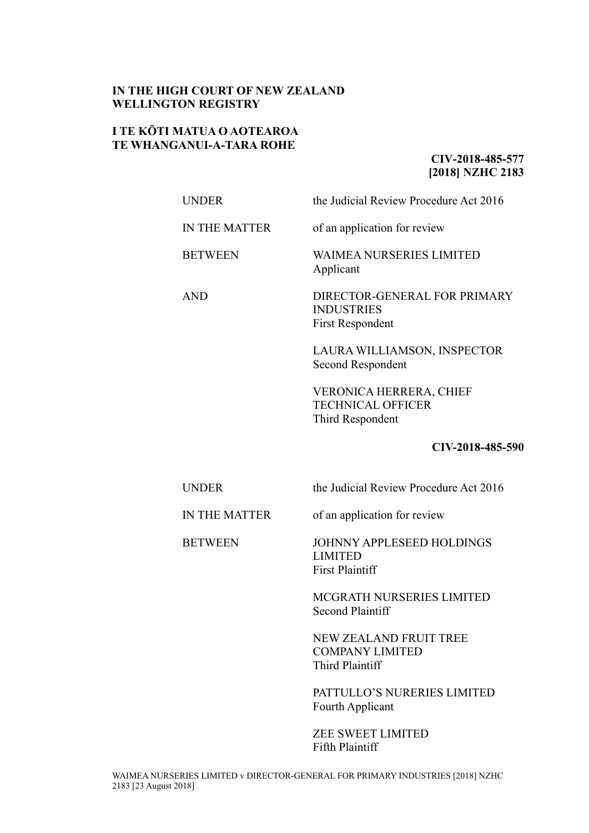## **IN THE HIGH COURT OF NEW ZEALAND WELLINGTON REGISTRY**

# **I TE KŌTI MATUA O AOTEAROA TE WHANGANUI-A-TARA ROHE**

# **CIV-2018-485-577 [2018] NZHC 2183**

UNDER the Judicial Review Procedure Act 2016 IN THE MATTER of an application for review BETWEEN WAIMEA NURSERIES LIMITED

Applicant

AND DIRECTOR-GENERAL FOR PRIMARY INDUSTRIES First Respondent

> LAURA WILLIAMSON, INSPECTOR Second Respondent

VERONICA HERRERA, CHIEF TECHNICAL OFFICER Third Respondent

## **CIV-2018-485-590**

UNDER the Judicial Review Procedure Act 2016

IN THE MATTER of an application for review

BETWEEN JOHNNY APPLESEED HOLDINGS LIMITED First Plaintiff

> MCGRATH NURSERIES LIMITED Second Plaintiff

NEW ZEALAND FRUIT TREE COMPANY LIMITED Third Plaintiff

PATTULLO'S NURERIES LIMITED Fourth Applicant

ZEE SWEET LIMITED Fifth Plaintiff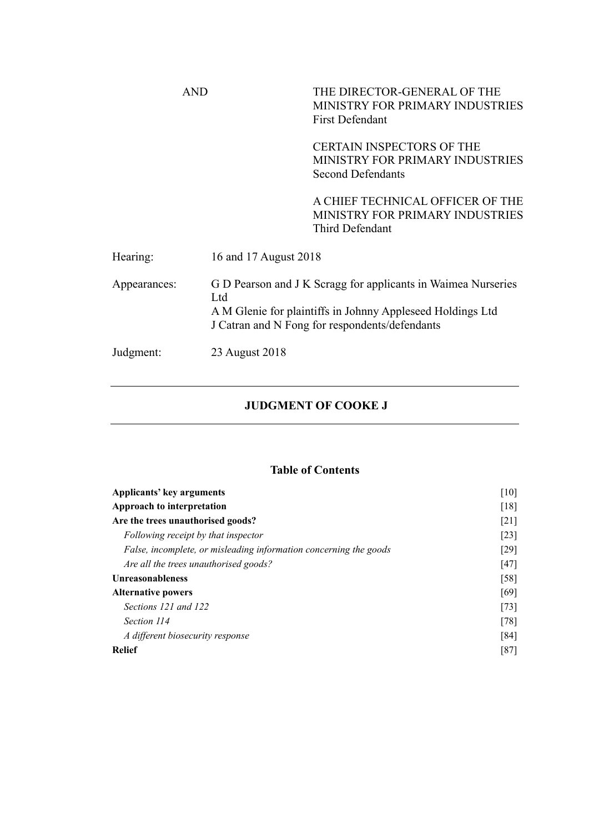|              | AND                   | THE DIRECTOR-GENERAL OF THE<br>MINISTRY FOR PRIMARY INDUSTRIES<br><b>First Defendant</b>                                                                                      |  |
|--------------|-----------------------|-------------------------------------------------------------------------------------------------------------------------------------------------------------------------------|--|
|              |                       | <b>CERTAIN INSPECTORS OF THE</b><br>MINISTRY FOR PRIMARY INDUSTRIES<br><b>Second Defendants</b>                                                                               |  |
|              |                       | A CHIEF TECHNICAL OFFICER OF THE<br>MINISTRY FOR PRIMARY INDUSTRIES<br>Third Defendant                                                                                        |  |
| Hearing:     | 16 and 17 August 2018 |                                                                                                                                                                               |  |
| Appearances: | Ltd                   | G D Pearson and J K Scragg for applicants in Waimea Nurseries<br>A M Glenie for plaintiffs in Johnny Appleseed Holdings Ltd<br>J Catran and N Fong for respondents/defendants |  |
| Judgment:    | 23 August 2018        |                                                                                                                                                                               |  |

# **JUDGMENT OF COOKE J**

# **Table of Contents**

| Applicants' key arguments                                         | $[10]$<br>[18]<br>$\lceil 21 \rceil$ |
|-------------------------------------------------------------------|--------------------------------------|
| Approach to interpretation                                        |                                      |
| Are the trees unauthorised goods?                                 |                                      |
| Following receipt by that inspector                               | $\lceil 23 \rceil$                   |
| False, incomplete, or misleading information concerning the goods | [29]                                 |
| Are all the trees unauthorised goods?                             | [47]                                 |
| <b>Unreasonableness</b>                                           | [58]                                 |
| <b>Alternative powers</b>                                         | [69]                                 |
| Sections 121 and 122                                              | $[73]$                               |
| Section 114                                                       | $[78]$                               |
| A different biosecurity response                                  | [84]                                 |
| <b>Relief</b>                                                     | [87]                                 |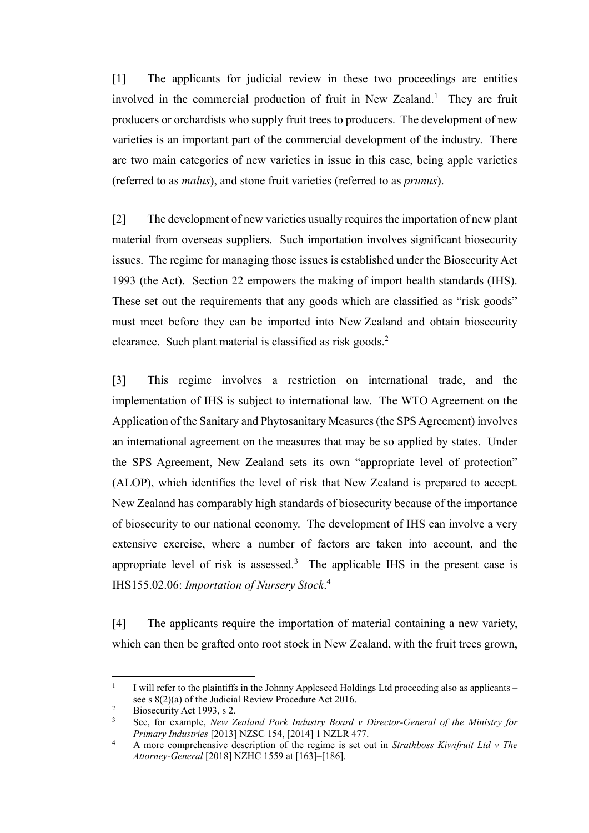[1] The applicants for judicial review in these two proceedings are entities involved in the commercial production of fruit in New Zealand.<sup>1</sup> They are fruit producers or orchardists who supply fruit trees to producers. The development of new varieties is an important part of the commercial development of the industry. There are two main categories of new varieties in issue in this case, being apple varieties (referred to as *malus*), and stone fruit varieties (referred to as *prunus*).

[2] The development of new varieties usually requires the importation of new plant material from overseas suppliers. Such importation involves significant biosecurity issues. The regime for managing those issues is established under the Biosecurity Act 1993 (the Act). Section 22 empowers the making of import health standards (IHS). These set out the requirements that any goods which are classified as "risk goods" must meet before they can be imported into New Zealand and obtain biosecurity clearance. Such plant material is classified as risk goods. $2$ 

[3] This regime involves a restriction on international trade, and the implementation of IHS is subject to international law. The WTO Agreement on the Application of the Sanitary and Phytosanitary Measures (the SPS Agreement) involves an international agreement on the measures that may be so applied by states. Under the SPS Agreement, New Zealand sets its own "appropriate level of protection" (ALOP), which identifies the level of risk that New Zealand is prepared to accept. New Zealand has comparably high standards of biosecurity because of the importance of biosecurity to our national economy. The development of IHS can involve a very extensive exercise, where a number of factors are taken into account, and the appropriate level of risk is assessed.<sup>3</sup> The applicable IHS in the present case is IHS155.02.06: *Importation of Nursery Stock*. 4

<span id="page-2-0"></span>[4] The applicants require the importation of material containing a new variety, which can then be grafted onto root stock in New Zealand, with the fruit trees grown,

 $\overline{a}$ 

<sup>1</sup> I will refer to the plaintiffs in the Johnny Appleseed Holdings Ltd proceeding also as applicants – see s 8(2)(a) of the Judicial Review Procedure Act 2016.

Biosecurity Act 1993, s 2.

<sup>3</sup> See, for example, *New Zealand Pork Industry Board v Director-General of the Ministry for Primary Industries* [2013] NZSC 154, [2014] 1 NZLR 477.

<sup>4</sup> A more comprehensive description of the regime is set out in *Strathboss Kiwifruit Ltd v The Attorney-General* [2018] NZHC 1559 at [163]–[186].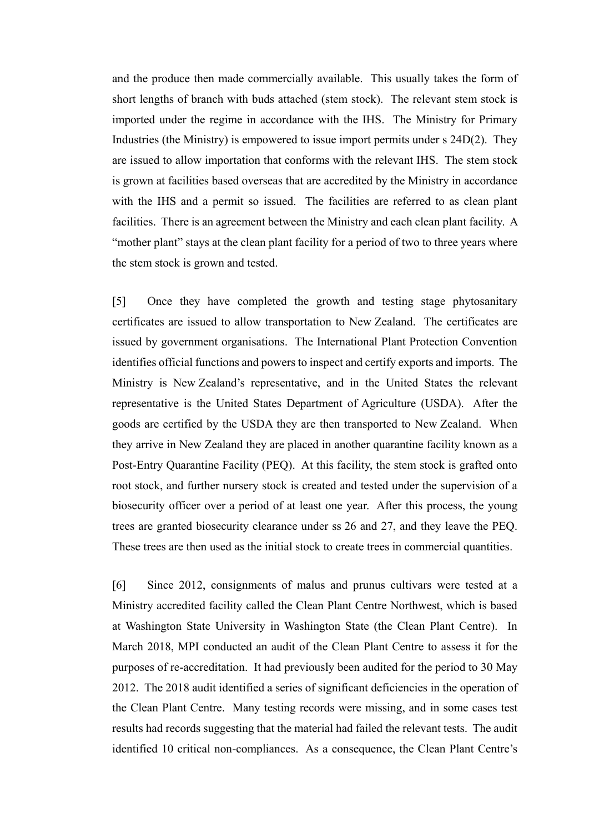and the produce then made commercially available. This usually takes the form of short lengths of branch with buds attached (stem stock). The relevant stem stock is imported under the regime in accordance with the IHS. The Ministry for Primary Industries (the Ministry) is empowered to issue import permits under s 24D(2). They are issued to allow importation that conforms with the relevant IHS. The stem stock is grown at facilities based overseas that are accredited by the Ministry in accordance with the IHS and a permit so issued. The facilities are referred to as clean plant facilities. There is an agreement between the Ministry and each clean plant facility. A "mother plant" stays at the clean plant facility for a period of two to three years where the stem stock is grown and tested.

[5] Once they have completed the growth and testing stage phytosanitary certificates are issued to allow transportation to New Zealand. The certificates are issued by government organisations. The International Plant Protection Convention identifies official functions and powers to inspect and certify exports and imports. The Ministry is New Zealand's representative, and in the United States the relevant representative is the United States Department of Agriculture (USDA). After the goods are certified by the USDA they are then transported to New Zealand. When they arrive in New Zealand they are placed in another quarantine facility known as a Post-Entry Quarantine Facility (PEQ). At this facility, the stem stock is grafted onto root stock, and further nursery stock is created and tested under the supervision of a biosecurity officer over a period of at least one year. After this process, the young trees are granted biosecurity clearance under ss 26 and 27, and they leave the PEQ. These trees are then used as the initial stock to create trees in commercial quantities.

[6] Since 2012, consignments of malus and prunus cultivars were tested at a Ministry accredited facility called the Clean Plant Centre Northwest, which is based at Washington State University in Washington State (the Clean Plant Centre). In March 2018, MPI conducted an audit of the Clean Plant Centre to assess it for the purposes of re-accreditation. It had previously been audited for the period to 30 May 2012. The 2018 audit identified a series of significant deficiencies in the operation of the Clean Plant Centre. Many testing records were missing, and in some cases test results had records suggesting that the material had failed the relevant tests. The audit identified 10 critical non-compliances. As a consequence, the Clean Plant Centre's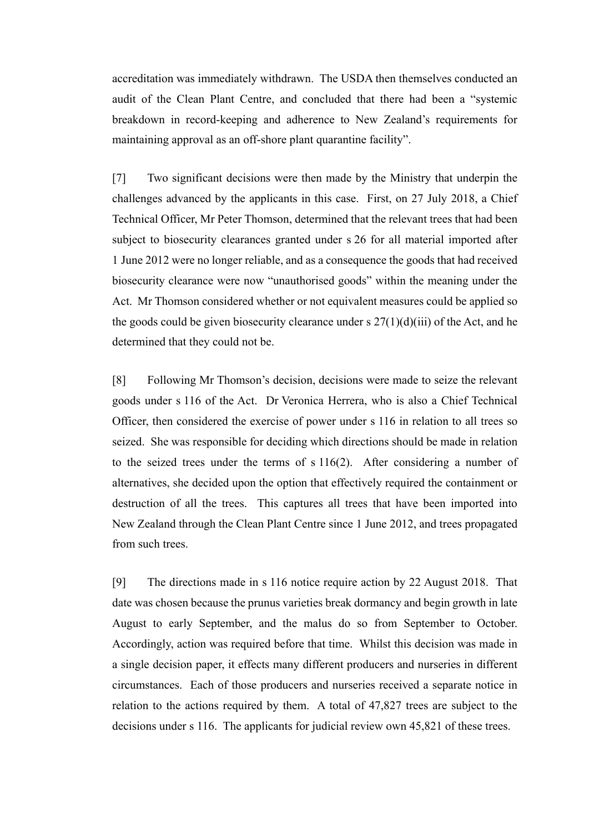accreditation was immediately withdrawn. The USDA then themselves conducted an audit of the Clean Plant Centre, and concluded that there had been a "systemic breakdown in record-keeping and adherence to New Zealand's requirements for maintaining approval as an off-shore plant quarantine facility".

[7] Two significant decisions were then made by the Ministry that underpin the challenges advanced by the applicants in this case. First, on 27 July 2018, a Chief Technical Officer, Mr Peter Thomson, determined that the relevant trees that had been subject to biosecurity clearances granted under s 26 for all material imported after 1 June 2012 were no longer reliable, and as a consequence the goods that had received biosecurity clearance were now "unauthorised goods" within the meaning under the Act. Mr Thomson considered whether or not equivalent measures could be applied so the goods could be given biosecurity clearance under s  $27(1)(d)(iii)$  of the Act, and he determined that they could not be.

[8] Following Mr Thomson's decision, decisions were made to seize the relevant goods under s 116 of the Act. Dr Veronica Herrera, who is also a Chief Technical Officer, then considered the exercise of power under s 116 in relation to all trees so seized. She was responsible for deciding which directions should be made in relation to the seized trees under the terms of s 116(2). After considering a number of alternatives, she decided upon the option that effectively required the containment or destruction of all the trees. This captures all trees that have been imported into New Zealand through the Clean Plant Centre since 1 June 2012, and trees propagated from such trees.

[9] The directions made in s 116 notice require action by 22 August 2018. That date was chosen because the prunus varieties break dormancy and begin growth in late August to early September, and the malus do so from September to October. Accordingly, action was required before that time. Whilst this decision was made in a single decision paper, it effects many different producers and nurseries in different circumstances. Each of those producers and nurseries received a separate notice in relation to the actions required by them. A total of 47,827 trees are subject to the decisions under s 116. The applicants for judicial review own 45,821 of these trees.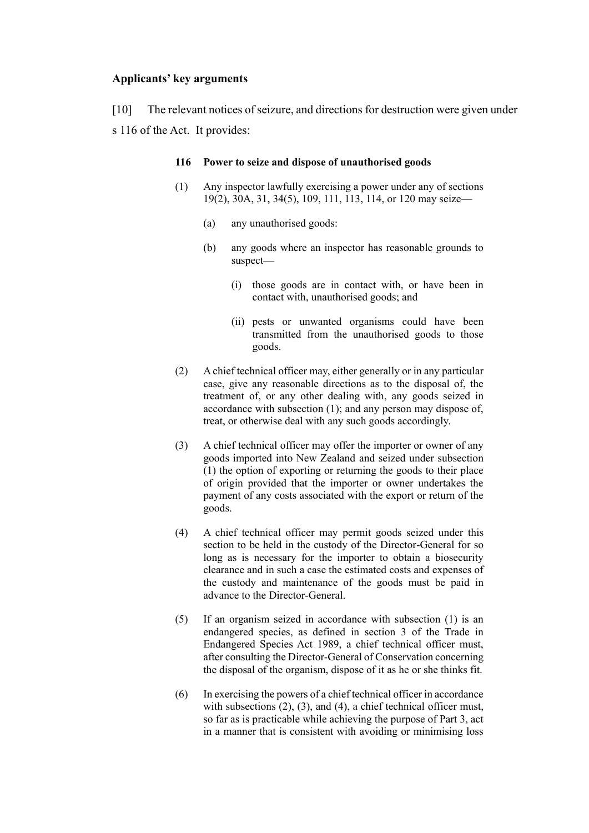## **Applicants' key arguments**

<span id="page-5-0"></span>[10] The relevant notices of seizure, and directions for destruction were given under s 116 of the Act. It provides:

## **116 Power to seize and dispose of unauthorised goods**

- (1) Any inspector lawfully exercising a power under any of sections 19(2), 30A, 31, 34(5), 109, 111, 113, 114, or 120 may seize—
	- (a) any unauthorised goods:
	- (b) any goods where an inspector has reasonable grounds to suspect—
		- (i) those goods are in contact with, or have been in contact with, unauthorised goods; and
		- (ii) pests or unwanted organisms could have been transmitted from the unauthorised goods to those goods.
- (2) A chief technical officer may, either generally or in any particular case, give any reasonable directions as to the disposal of, the treatment of, or any other dealing with, any goods seized in accordance with subsection (1); and any person may dispose of, treat, or otherwise deal with any such goods accordingly.
- (3) A chief technical officer may offer the importer or owner of any goods imported into New Zealand and seized under subsection (1) the option of exporting or returning the goods to their place of origin provided that the importer or owner undertakes the payment of any costs associated with the export or return of the goods.
- (4) A chief technical officer may permit goods seized under this section to be held in the custody of the Director-General for so long as is necessary for the importer to obtain a biosecurity clearance and in such a case the estimated costs and expenses of the custody and maintenance of the goods must be paid in advance to the Director-General.
- (5) If an organism seized in accordance with subsection (1) is an endangered species, as defined in section 3 of the Trade in Endangered Species Act 1989, a chief technical officer must, after consulting the Director-General of Conservation concerning the disposal of the organism, dispose of it as he or she thinks fit.
- (6) In exercising the powers of a chief technical officer in accordance with subsections (2), (3), and (4), a chief technical officer must, so far as is practicable while achieving the purpose of Part 3, act in a manner that is consistent with avoiding or minimising loss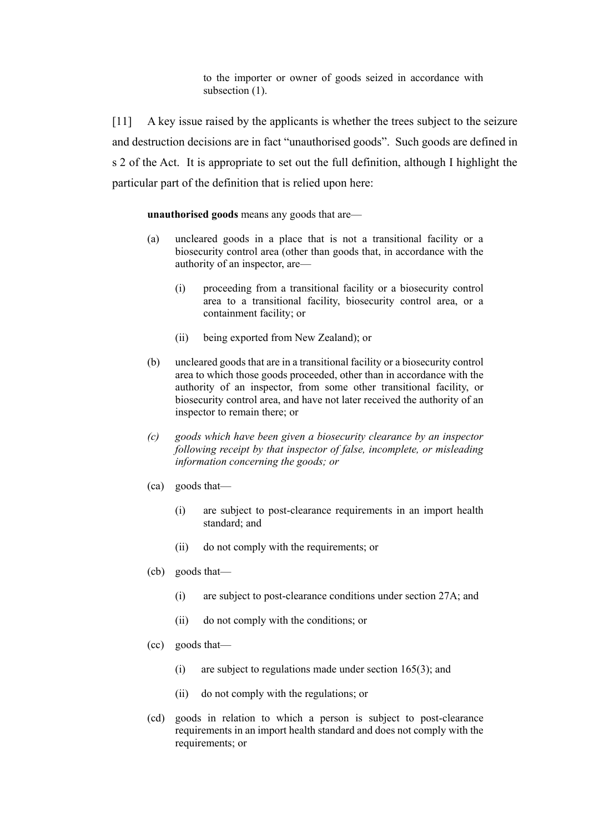to the importer or owner of goods seized in accordance with subsection  $(1)$ .

[11] A key issue raised by the applicants is whether the trees subject to the seizure and destruction decisions are in fact "unauthorised goods". Such goods are defined in s 2 of the Act. It is appropriate to set out the full definition, although I highlight the particular part of the definition that is relied upon here:

#### **unauthorised goods** means any goods that are—

- (a) uncleared goods in a place that is not a transitional facility or a biosecurity control area (other than goods that, in accordance with the authority of an inspector, are—
	- (i) proceeding from a transitional facility or a biosecurity control area to a transitional facility, biosecurity control area, or a containment facility; or
	- (ii) being exported from New Zealand); or
- (b) uncleared goods that are in a transitional facility or a biosecurity control area to which those goods proceeded, other than in accordance with the authority of an inspector, from some other transitional facility, or biosecurity control area, and have not later received the authority of an inspector to remain there; or
- *(c) goods which have been given a biosecurity clearance by an inspector following receipt by that inspector of false, incomplete, or misleading information concerning the goods; or*
- (ca) goods that—
	- (i) are subject to post-clearance requirements in an import health standard; and
	- (ii) do not comply with the requirements; or
- (cb) goods that—
	- (i) are subject to post-clearance conditions under section 27A; and
	- (ii) do not comply with the conditions; or
- (cc) goods that—
	- (i) are subject to regulations made under section 165(3); and
	- (ii) do not comply with the regulations; or
- (cd) goods in relation to which a person is subject to post-clearance requirements in an import health standard and does not comply with the requirements; or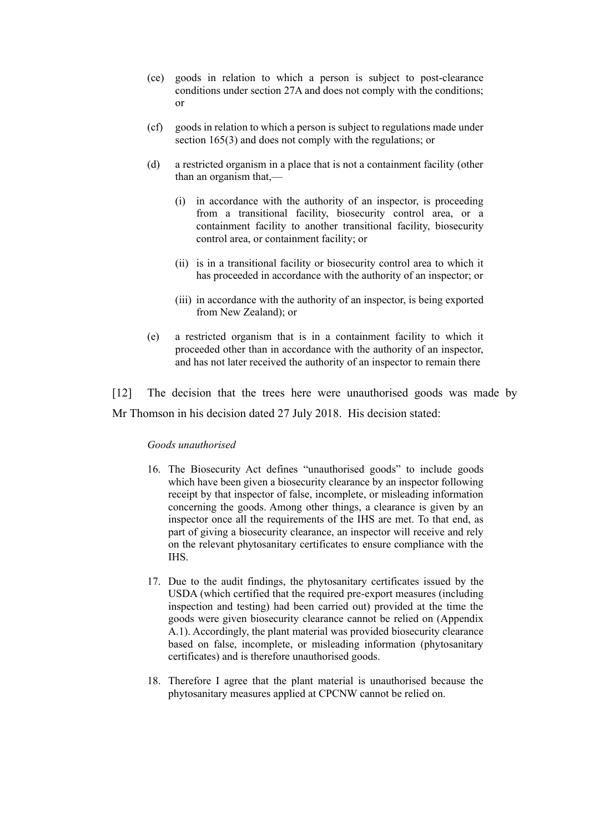- (ce) goods in relation to which a person is subject to post-clearance conditions under section 27A and does not comply with the conditions; or
- (cf) goods in relation to which a person is subject to regulations made under section 165(3) and does not comply with the regulations; or
- (d) a restricted organism in a place that is not a containment facility (other than an organism that,—
	- (i) in accordance with the authority of an inspector, is proceeding from a transitional facility, biosecurity control area, or a containment facility to another transitional facility, biosecurity control area, or containment facility; or
	- (ii) is in a transitional facility or biosecurity control area to which it has proceeded in accordance with the authority of an inspector; or
	- (iii) in accordance with the authority of an inspector, is being exported from New Zealand); or
- (e) a restricted organism that is in a containment facility to which it proceeded other than in accordance with the authority of an inspector, and has not later received the authority of an inspector to remain there

[12] The decision that the trees here were unauthorised goods was made by Mr Thomson in his decision dated 27 July 2018. His decision stated:

### *Goods unauthorised*

- 16. The Biosecurity Act defines "unauthorised goods" to include goods which have been given a biosecurity clearance by an inspector following receipt by that inspector of false, incomplete, or misleading information concerning the goods. Among other things, a clearance is given by an inspector once all the requirements of the IHS are met. To that end, as part of giving a biosecurity clearance, an inspector will receive and rely on the relevant phytosanitary certificates to ensure compliance with the IHS.
- 17. Due to the audit findings, the phytosanitary certificates issued by the USDA (which certified that the required pre-export measures (including inspection and testing) had been carried out) provided at the time the goods were given biosecurity clearance cannot be relied on (Appendix A.1). Accordingly, the plant material was provided biosecurity clearance based on false, incomplete, or misleading information (phytosanitary certificates) and is therefore unauthorised goods.
- 18. Therefore I agree that the plant material is unauthorised because the phytosanitary measures applied at CPCNW cannot be relied on.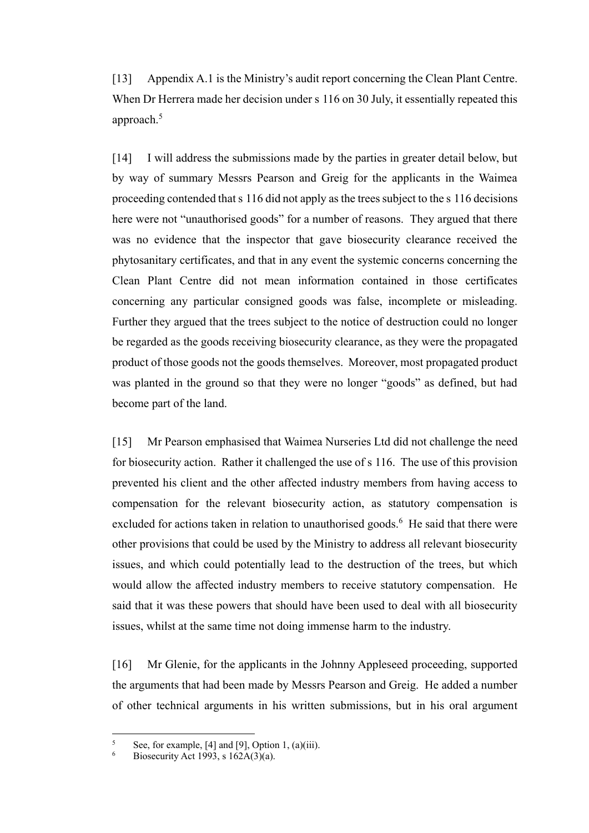[13] Appendix A.1 is the Ministry's audit report concerning the Clean Plant Centre. When Dr Herrera made her decision under s 116 on 30 July, it essentially repeated this approach.<sup>5</sup>

[14] I will address the submissions made by the parties in greater detail below, but by way of summary Messrs Pearson and Greig for the applicants in the Waimea proceeding contended that s 116 did not apply as the trees subject to the s 116 decisions here were not "unauthorised goods" for a number of reasons. They argued that there was no evidence that the inspector that gave biosecurity clearance received the phytosanitary certificates, and that in any event the systemic concerns concerning the Clean Plant Centre did not mean information contained in those certificates concerning any particular consigned goods was false, incomplete or misleading. Further they argued that the trees subject to the notice of destruction could no longer be regarded as the goods receiving biosecurity clearance, as they were the propagated product of those goods not the goods themselves. Moreover, most propagated product was planted in the ground so that they were no longer "goods" as defined, but had become part of the land.

[15] Mr Pearson emphasised that Waimea Nurseries Ltd did not challenge the need for biosecurity action. Rather it challenged the use of s 116. The use of this provision prevented his client and the other affected industry members from having access to compensation for the relevant biosecurity action, as statutory compensation is excluded for actions taken in relation to unauthorised goods.<sup>6</sup> He said that there were other provisions that could be used by the Ministry to address all relevant biosecurity issues, and which could potentially lead to the destruction of the trees, but which would allow the affected industry members to receive statutory compensation. He said that it was these powers that should have been used to deal with all biosecurity issues, whilst at the same time not doing immense harm to the industry.

[16] Mr Glenie, for the applicants in the Johnny Appleseed proceeding, supported the arguments that had been made by Messrs Pearson and Greig. He added a number of other technical arguments in his written submissions, but in his oral argument

 $\sqrt{5}$ <sup>5</sup> See, for example, [4] and [9], Option 1, (a)(iii).

Biosecurity Act 1993, s  $162A(3)(a)$ .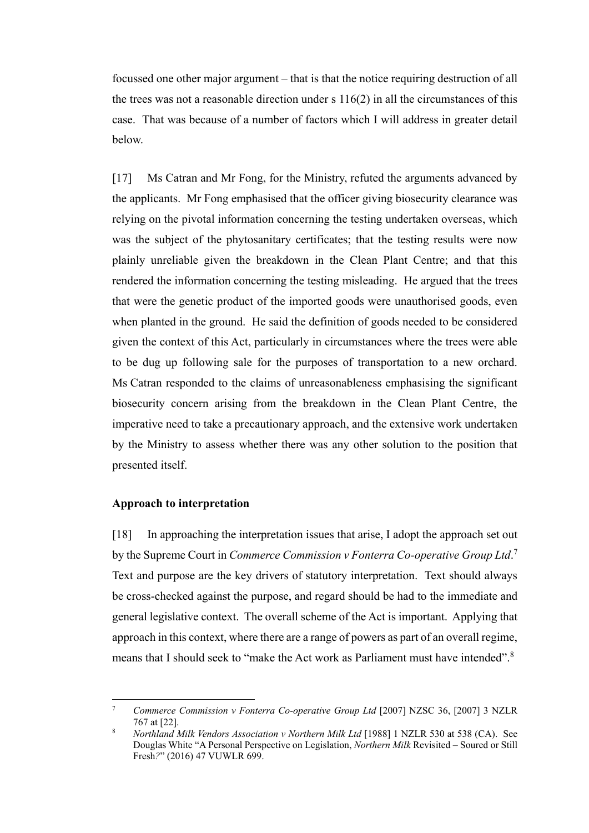focussed one other major argument – that is that the notice requiring destruction of all the trees was not a reasonable direction under  $s$  116(2) in all the circumstances of this case. That was because of a number of factors which I will address in greater detail below.

[17] Ms Catran and Mr Fong, for the Ministry, refuted the arguments advanced by the applicants. Mr Fong emphasised that the officer giving biosecurity clearance was relying on the pivotal information concerning the testing undertaken overseas, which was the subject of the phytosanitary certificates; that the testing results were now plainly unreliable given the breakdown in the Clean Plant Centre; and that this rendered the information concerning the testing misleading. He argued that the trees that were the genetic product of the imported goods were unauthorised goods, even when planted in the ground. He said the definition of goods needed to be considered given the context of this Act, particularly in circumstances where the trees were able to be dug up following sale for the purposes of transportation to a new orchard. Ms Catran responded to the claims of unreasonableness emphasising the significant biosecurity concern arising from the breakdown in the Clean Plant Centre, the imperative need to take a precautionary approach, and the extensive work undertaken by the Ministry to assess whether there was any other solution to the position that presented itself.

## **Approach to interpretation**

 $\overline{a}$ 

<span id="page-9-0"></span>[18] In approaching the interpretation issues that arise, I adopt the approach set out by the Supreme Court in *Commerce Commission v Fonterra Co-operative Group Ltd*.<sup>7</sup> Text and purpose are the key drivers of statutory interpretation. Text should always be cross-checked against the purpose, and regard should be had to the immediate and general legislative context. The overall scheme of the Act is important. Applying that approach in this context, where there are a range of powers as part of an overall regime, means that I should seek to "make the Act work as Parliament must have intended".<sup>8</sup>

<sup>7</sup> *Commerce Commission v Fonterra Co-operative Group Ltd* [2007] NZSC 36, [2007] 3 NZLR 767 at [22].

<sup>8</sup> *Northland Milk Vendors Association v Northern Milk Ltd* [1988] 1 NZLR 530 at 538 (CA). See Douglas White "A Personal Perspective on Legislation, *Northern Milk* Revisited – Soured or Still Fresh*?*" (2016) 47 VUWLR 699.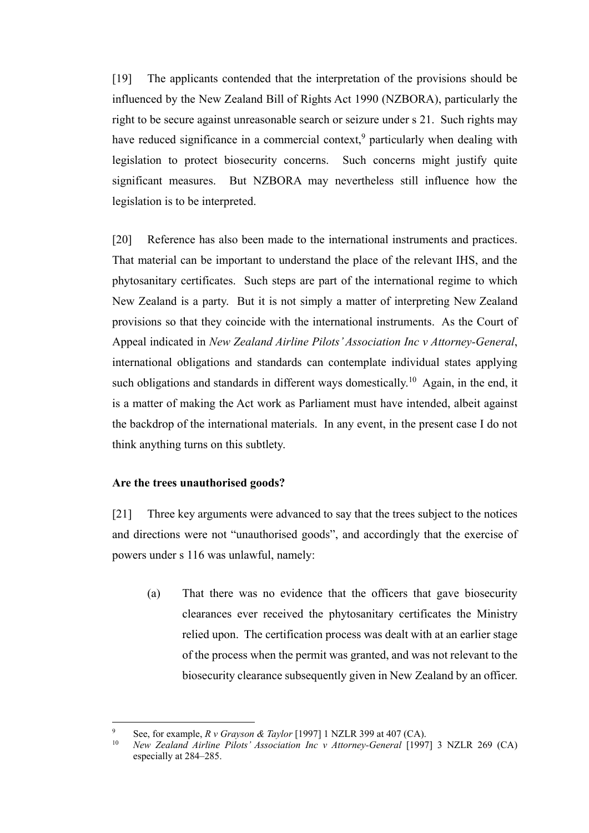[19] The applicants contended that the interpretation of the provisions should be influenced by the New Zealand Bill of Rights Act 1990 (NZBORA), particularly the right to be secure against unreasonable search or seizure under s 21. Such rights may have reduced significance in a commercial context,<sup>9</sup> particularly when dealing with legislation to protect biosecurity concerns. Such concerns might justify quite significant measures. But NZBORA may nevertheless still influence how the legislation is to be interpreted.

[20] Reference has also been made to the international instruments and practices. That material can be important to understand the place of the relevant IHS, and the phytosanitary certificates. Such steps are part of the international regime to which New Zealand is a party. But it is not simply a matter of interpreting New Zealand provisions so that they coincide with the international instruments. As the Court of Appeal indicated in *New Zealand Airline Pilots'Association Inc v Attorney-General*, international obligations and standards can contemplate individual states applying such obligations and standards in different ways domestically.<sup>10</sup> Again, in the end, it is a matter of making the Act work as Parliament must have intended, albeit against the backdrop of the international materials. In any event, in the present case I do not think anything turns on this subtlety.

## **Are the trees unauthorised goods?**

 $\overline{a}$ 

<span id="page-10-0"></span>[21] Three key arguments were advanced to say that the trees subject to the notices and directions were not "unauthorised goods", and accordingly that the exercise of powers under s 116 was unlawful, namely:

(a) That there was no evidence that the officers that gave biosecurity clearances ever received the phytosanitary certificates the Ministry relied upon. The certification process was dealt with at an earlier stage of the process when the permit was granted, and was not relevant to the biosecurity clearance subsequently given in New Zealand by an officer.

<sup>9</sup> See, for example, *R v Grayson & Taylor* [1997] 1 NZLR 399 at 407 (CA).

<sup>10</sup> *New Zealand Airline Pilots' Association Inc v Attorney-General* [1997] 3 NZLR 269 (CA) especially at 284–285.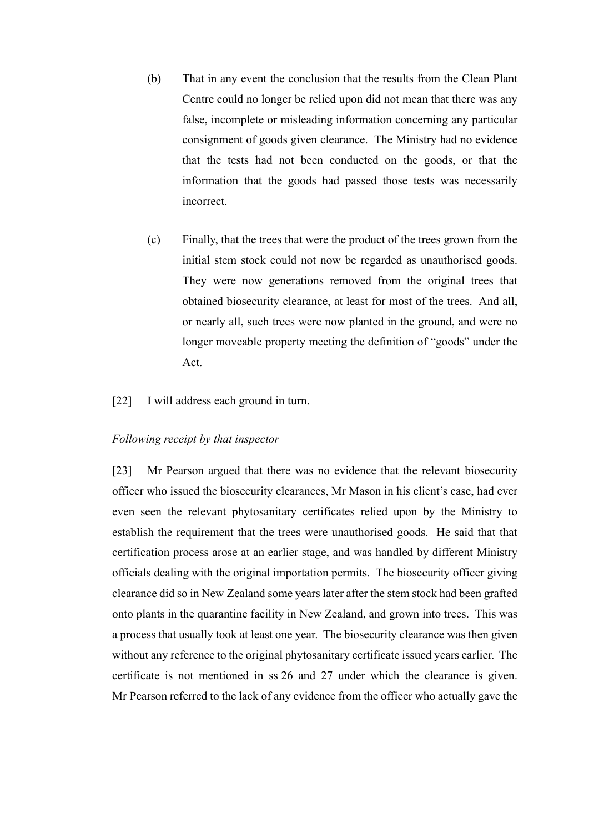- (b) That in any event the conclusion that the results from the Clean Plant Centre could no longer be relied upon did not mean that there was any false, incomplete or misleading information concerning any particular consignment of goods given clearance. The Ministry had no evidence that the tests had not been conducted on the goods, or that the information that the goods had passed those tests was necessarily incorrect.
- (c) Finally, that the trees that were the product of the trees grown from the initial stem stock could not now be regarded as unauthorised goods. They were now generations removed from the original trees that obtained biosecurity clearance, at least for most of the trees. And all, or nearly all, such trees were now planted in the ground, and were no longer moveable property meeting the definition of "goods" under the Act.
- [22] I will address each ground in turn.

## *Following receipt by that inspector*

<span id="page-11-0"></span>[23] Mr Pearson argued that there was no evidence that the relevant biosecurity officer who issued the biosecurity clearances, Mr Mason in his client's case, had ever even seen the relevant phytosanitary certificates relied upon by the Ministry to establish the requirement that the trees were unauthorised goods. He said that that certification process arose at an earlier stage, and was handled by different Ministry officials dealing with the original importation permits. The biosecurity officer giving clearance did so in New Zealand some years later after the stem stock had been grafted onto plants in the quarantine facility in New Zealand, and grown into trees. This was a process that usually took at least one year. The biosecurity clearance was then given without any reference to the original phytosanitary certificate issued years earlier. The certificate is not mentioned in ss 26 and 27 under which the clearance is given. Mr Pearson referred to the lack of any evidence from the officer who actually gave the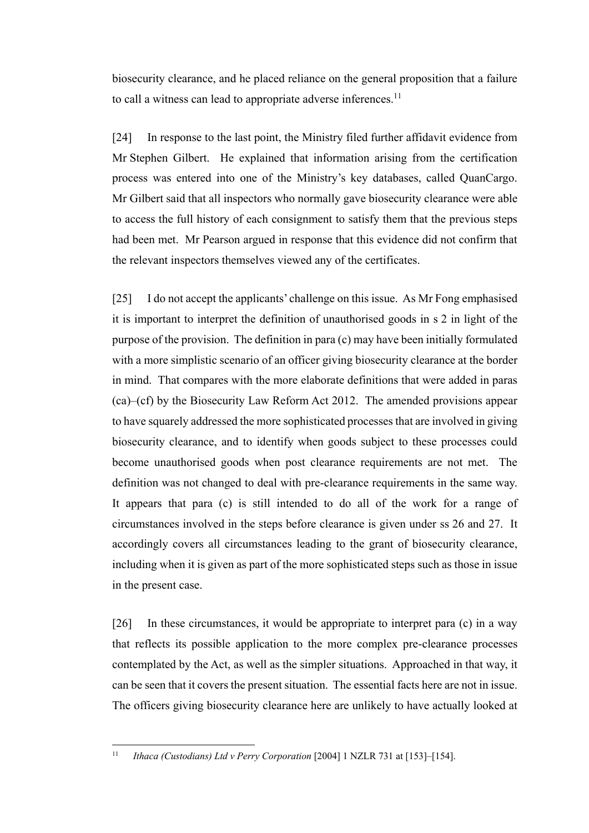biosecurity clearance, and he placed reliance on the general proposition that a failure to call a witness can lead to appropriate adverse inferences.<sup>11</sup>

[24] In response to the last point, the Ministry filed further affidavit evidence from Mr Stephen Gilbert. He explained that information arising from the certification process was entered into one of the Ministry's key databases, called QuanCargo. Mr Gilbert said that all inspectors who normally gave biosecurity clearance were able to access the full history of each consignment to satisfy them that the previous steps had been met. Mr Pearson argued in response that this evidence did not confirm that the relevant inspectors themselves viewed any of the certificates.

[25] I do not accept the applicants' challenge on this issue. As Mr Fong emphasised it is important to interpret the definition of unauthorised goods in s 2 in light of the purpose of the provision. The definition in para (c) may have been initially formulated with a more simplistic scenario of an officer giving biosecurity clearance at the border in mind. That compares with the more elaborate definitions that were added in paras (ca)–(cf) by the Biosecurity Law Reform Act 2012. The amended provisions appear to have squarely addressed the more sophisticated processes that are involved in giving biosecurity clearance, and to identify when goods subject to these processes could become unauthorised goods when post clearance requirements are not met. The definition was not changed to deal with pre-clearance requirements in the same way. It appears that para (c) is still intended to do all of the work for a range of circumstances involved in the steps before clearance is given under ss 26 and 27. It accordingly covers all circumstances leading to the grant of biosecurity clearance, including when it is given as part of the more sophisticated steps such as those in issue in the present case.

[26] In these circumstances, it would be appropriate to interpret para (c) in a way that reflects its possible application to the more complex pre-clearance processes contemplated by the Act, as well as the simpler situations. Approached in that way, it can be seen that it covers the present situation. The essential facts here are not in issue. The officers giving biosecurity clearance here are unlikely to have actually looked at

 $\overline{a}$ 

<sup>11</sup> *Ithaca (Custodians) Ltd v Perry Corporation* [2004] 1 NZLR 731 at [153]–[154].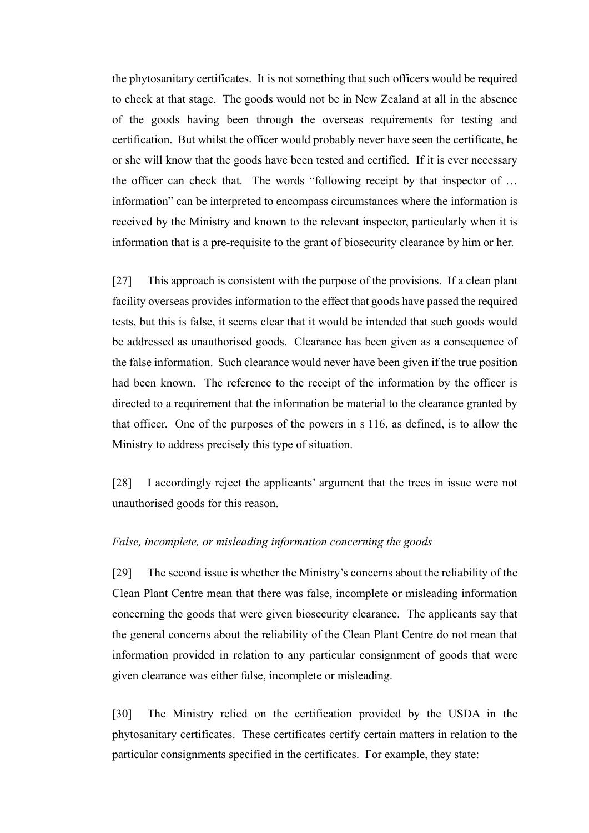the phytosanitary certificates. It is not something that such officers would be required to check at that stage. The goods would not be in New Zealand at all in the absence of the goods having been through the overseas requirements for testing and certification. But whilst the officer would probably never have seen the certificate, he or she will know that the goods have been tested and certified. If it is ever necessary the officer can check that. The words "following receipt by that inspector of … information" can be interpreted to encompass circumstances where the information is received by the Ministry and known to the relevant inspector, particularly when it is information that is a pre-requisite to the grant of biosecurity clearance by him or her.

[27] This approach is consistent with the purpose of the provisions. If a clean plant facility overseas provides information to the effect that goods have passed the required tests, but this is false, it seems clear that it would be intended that such goods would be addressed as unauthorised goods. Clearance has been given as a consequence of the false information. Such clearance would never have been given if the true position had been known. The reference to the receipt of the information by the officer is directed to a requirement that the information be material to the clearance granted by that officer. One of the purposes of the powers in s 116, as defined, is to allow the Ministry to address precisely this type of situation.

[28] I accordingly reject the applicants' argument that the trees in issue were not unauthorised goods for this reason.

## *False, incomplete, or misleading information concerning the goods*

<span id="page-13-0"></span>[29] The second issue is whether the Ministry's concerns about the reliability of the Clean Plant Centre mean that there was false, incomplete or misleading information concerning the goods that were given biosecurity clearance. The applicants say that the general concerns about the reliability of the Clean Plant Centre do not mean that information provided in relation to any particular consignment of goods that were given clearance was either false, incomplete or misleading.

[30] The Ministry relied on the certification provided by the USDA in the phytosanitary certificates. These certificates certify certain matters in relation to the particular consignments specified in the certificates. For example, they state: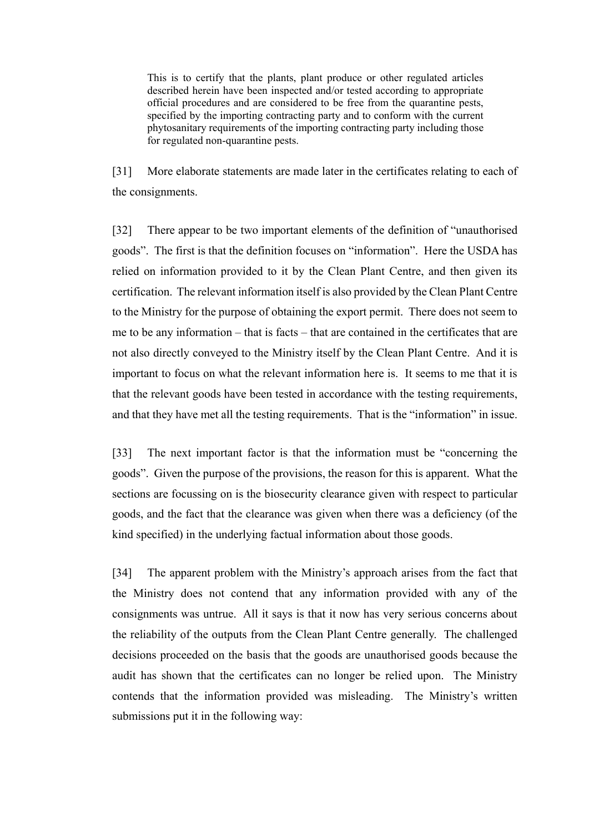This is to certify that the plants, plant produce or other regulated articles described herein have been inspected and/or tested according to appropriate official procedures and are considered to be free from the quarantine pests, specified by the importing contracting party and to conform with the current phytosanitary requirements of the importing contracting party including those for regulated non-quarantine pests.

[31] More elaborate statements are made later in the certificates relating to each of the consignments.

[32] There appear to be two important elements of the definition of "unauthorised goods". The first is that the definition focuses on "information". Here the USDA has relied on information provided to it by the Clean Plant Centre, and then given its certification. The relevant information itself is also provided by the Clean Plant Centre to the Ministry for the purpose of obtaining the export permit. There does not seem to me to be any information – that is facts – that are contained in the certificates that are not also directly conveyed to the Ministry itself by the Clean Plant Centre. And it is important to focus on what the relevant information here is. It seems to me that it is that the relevant goods have been tested in accordance with the testing requirements, and that they have met all the testing requirements. That is the "information" in issue.

[33] The next important factor is that the information must be "concerning the goods". Given the purpose of the provisions, the reason for this is apparent. What the sections are focussing on is the biosecurity clearance given with respect to particular goods, and the fact that the clearance was given when there was a deficiency (of the kind specified) in the underlying factual information about those goods.

[34] The apparent problem with the Ministry's approach arises from the fact that the Ministry does not contend that any information provided with any of the consignments was untrue. All it says is that it now has very serious concerns about the reliability of the outputs from the Clean Plant Centre generally. The challenged decisions proceeded on the basis that the goods are unauthorised goods because the audit has shown that the certificates can no longer be relied upon. The Ministry contends that the information provided was misleading. The Ministry's written submissions put it in the following way: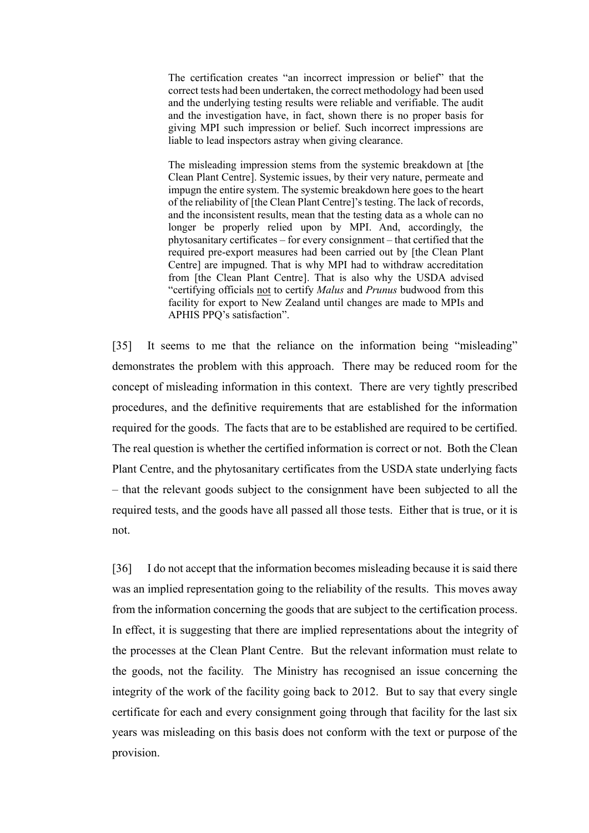The certification creates "an incorrect impression or belief" that the correct tests had been undertaken, the correct methodology had been used and the underlying testing results were reliable and verifiable. The audit and the investigation have, in fact, shown there is no proper basis for giving MPI such impression or belief. Such incorrect impressions are liable to lead inspectors astray when giving clearance.

The misleading impression stems from the systemic breakdown at [the Clean Plant Centre]. Systemic issues, by their very nature, permeate and impugn the entire system. The systemic breakdown here goes to the heart of the reliability of [the Clean Plant Centre]'s testing. The lack of records, and the inconsistent results, mean that the testing data as a whole can no longer be properly relied upon by MPI. And, accordingly, the phytosanitary certificates – for every consignment – that certified that the required pre-export measures had been carried out by [the Clean Plant Centre] are impugned. That is why MPI had to withdraw accreditation from [the Clean Plant Centre]. That is also why the USDA advised "certifying officials not to certify *Malus* and *Prunus* budwood from this facility for export to New Zealand until changes are made to MPIs and APHIS PPQ's satisfaction".

[35] It seems to me that the reliance on the information being "misleading" demonstrates the problem with this approach. There may be reduced room for the concept of misleading information in this context. There are very tightly prescribed procedures, and the definitive requirements that are established for the information required for the goods. The facts that are to be established are required to be certified. The real question is whether the certified information is correct or not. Both the Clean Plant Centre, and the phytosanitary certificates from the USDA state underlying facts – that the relevant goods subject to the consignment have been subjected to all the required tests, and the goods have all passed all those tests. Either that is true, or it is not.

[36] I do not accept that the information becomes misleading because it is said there was an implied representation going to the reliability of the results. This moves away from the information concerning the goods that are subject to the certification process. In effect, it is suggesting that there are implied representations about the integrity of the processes at the Clean Plant Centre. But the relevant information must relate to the goods, not the facility. The Ministry has recognised an issue concerning the integrity of the work of the facility going back to 2012. But to say that every single certificate for each and every consignment going through that facility for the last six years was misleading on this basis does not conform with the text or purpose of the provision.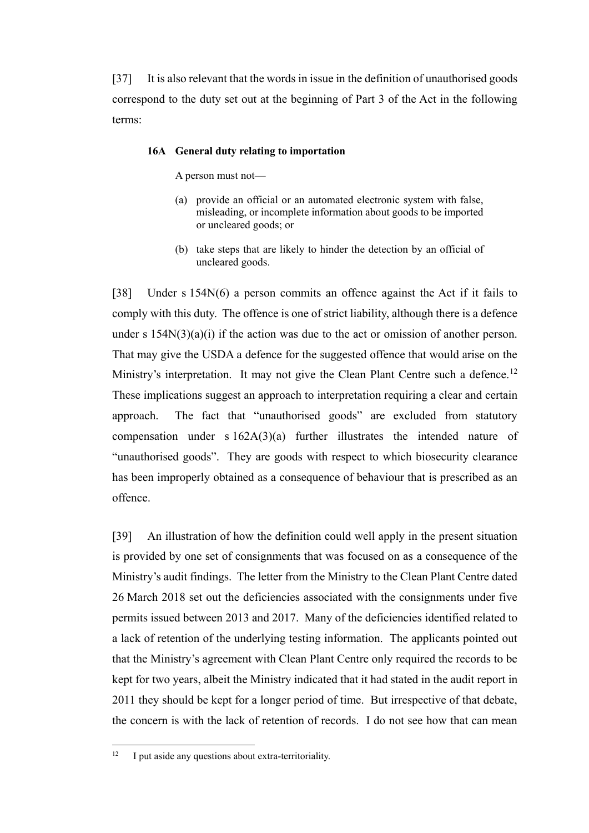[37] It is also relevant that the words in issue in the definition of unauthorised goods correspond to the duty set out at the beginning of Part 3 of the Act in the following terms:

#### **16A General duty relating to importation**

A person must not—

- (a) provide an official or an automated electronic system with false, misleading, or incomplete information about goods to be imported or uncleared goods; or
- (b) take steps that are likely to hinder the detection by an official of uncleared goods.

[38] Under s 154N(6) a person commits an offence against the Act if it fails to comply with this duty. The offence is one of strict liability, although there is a defence under s  $154N(3)(a)(i)$  if the action was due to the act or omission of another person. That may give the USDA a defence for the suggested offence that would arise on the Ministry's interpretation. It may not give the Clean Plant Centre such a defence.<sup>12</sup> These implications suggest an approach to interpretation requiring a clear and certain approach. The fact that "unauthorised goods" are excluded from statutory compensation under s  $162A(3)(a)$  further illustrates the intended nature of "unauthorised goods". They are goods with respect to which biosecurity clearance has been improperly obtained as a consequence of behaviour that is prescribed as an offence.

[39] An illustration of how the definition could well apply in the present situation is provided by one set of consignments that was focused on as a consequence of the Ministry's audit findings. The letter from the Ministry to the Clean Plant Centre dated 26 March 2018 set out the deficiencies associated with the consignments under five permits issued between 2013 and 2017. Many of the deficiencies identified related to a lack of retention of the underlying testing information. The applicants pointed out that the Ministry's agreement with Clean Plant Centre only required the records to be kept for two years, albeit the Ministry indicated that it had stated in the audit report in 2011 they should be kept for a longer period of time. But irrespective of that debate, the concern is with the lack of retention of records. I do not see how that can mean

 $\overline{a}$ 

<sup>&</sup>lt;sup>12</sup> I put aside any questions about extra-territoriality.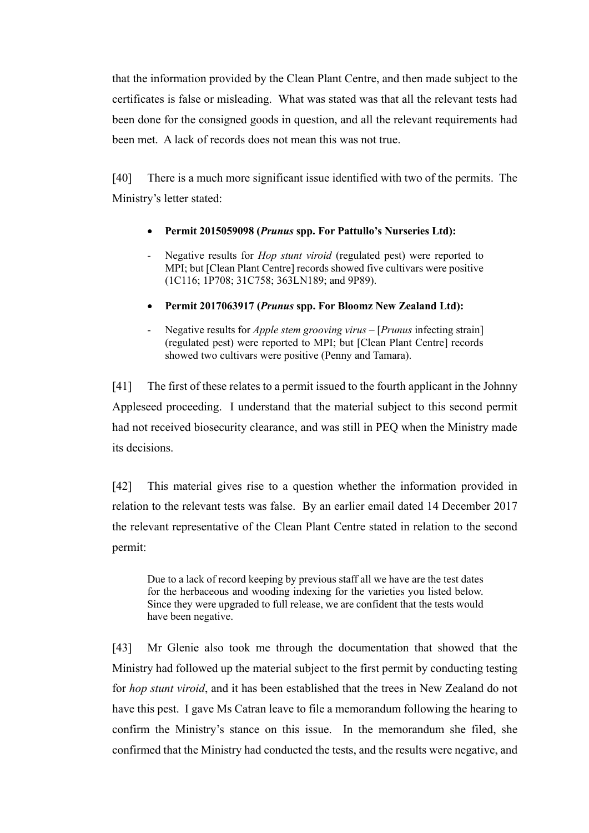that the information provided by the Clean Plant Centre, and then made subject to the certificates is false or misleading. What was stated was that all the relevant tests had been done for the consigned goods in question, and all the relevant requirements had been met. A lack of records does not mean this was not true.

[40] There is a much more significant issue identified with two of the permits. The Ministry's letter stated:

- **Permit 2015059098 (***Prunus* **spp. For Pattullo's Nurseries Ltd):**
- Negative results for *Hop stunt viroid* (regulated pest) were reported to MPI; but [Clean Plant Centre] records showed five cultivars were positive (1C116; 1P708; 31C758; 363LN189; and 9P89).
- **Permit 2017063917 (***Prunus* **spp. For Bloomz New Zealand Ltd):**
- Negative results for *Apple stem grooving virus*  [*Prunus* infecting strain] (regulated pest) were reported to MPI; but [Clean Plant Centre] records showed two cultivars were positive (Penny and Tamara).

[41] The first of these relates to a permit issued to the fourth applicant in the Johnny Appleseed proceeding. I understand that the material subject to this second permit had not received biosecurity clearance, and was still in PEQ when the Ministry made its decisions.

[42] This material gives rise to a question whether the information provided in relation to the relevant tests was false. By an earlier email dated 14 December 2017 the relevant representative of the Clean Plant Centre stated in relation to the second permit:

Due to a lack of record keeping by previous staff all we have are the test dates for the herbaceous and wooding indexing for the varieties you listed below. Since they were upgraded to full release, we are confident that the tests would have been negative.

[43] Mr Glenie also took me through the documentation that showed that the Ministry had followed up the material subject to the first permit by conducting testing for *hop stunt viroid*, and it has been established that the trees in New Zealand do not have this pest. I gave Ms Catran leave to file a memorandum following the hearing to confirm the Ministry's stance on this issue. In the memorandum she filed, she confirmed that the Ministry had conducted the tests, and the results were negative, and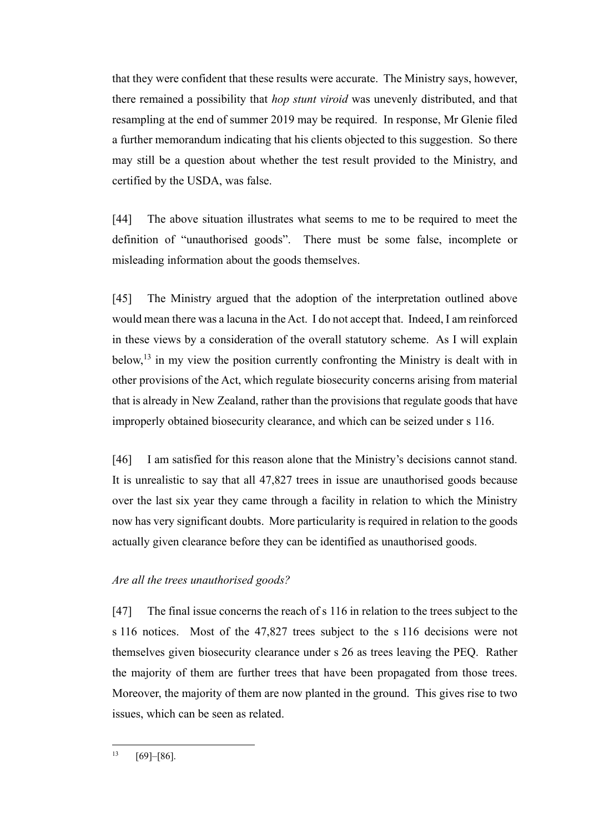that they were confident that these results were accurate. The Ministry says, however, there remained a possibility that *hop stunt viroid* was unevenly distributed, and that resampling at the end of summer 2019 may be required. In response, Mr Glenie filed a further memorandum indicating that his clients objected to this suggestion. So there may still be a question about whether the test result provided to the Ministry, and certified by the USDA, was false.

[44] The above situation illustrates what seems to me to be required to meet the definition of "unauthorised goods". There must be some false, incomplete or misleading information about the goods themselves.

[45] The Ministry argued that the adoption of the interpretation outlined above would mean there was a lacuna in the Act. I do not accept that. Indeed, I am reinforced in these views by a consideration of the overall statutory scheme. As I will explain below, $^{13}$  in my view the position currently confronting the Ministry is dealt with in other provisions of the Act, which regulate biosecurity concerns arising from material that is already in New Zealand, rather than the provisions that regulate goods that have improperly obtained biosecurity clearance, and which can be seized under s 116.

[46] I am satisfied for this reason alone that the Ministry's decisions cannot stand. It is unrealistic to say that all 47,827 trees in issue are unauthorised goods because over the last six year they came through a facility in relation to which the Ministry now has very significant doubts. More particularity is required in relation to the goods actually given clearance before they can be identified as unauthorised goods.

## *Are all the trees unauthorised goods?*

<span id="page-18-0"></span>[47] The final issue concerns the reach of s 116 in relation to the trees subject to the s 116 notices. Most of the 47,827 trees subject to the s 116 decisions were not themselves given biosecurity clearance under s 26 as trees leaving the PEQ. Rather the majority of them are further trees that have been propagated from those trees. Moreover, the majority of them are now planted in the ground. This gives rise to two issues, which can be seen as related.

 $\overline{a}$ 

 $13 [69] - [86]$ .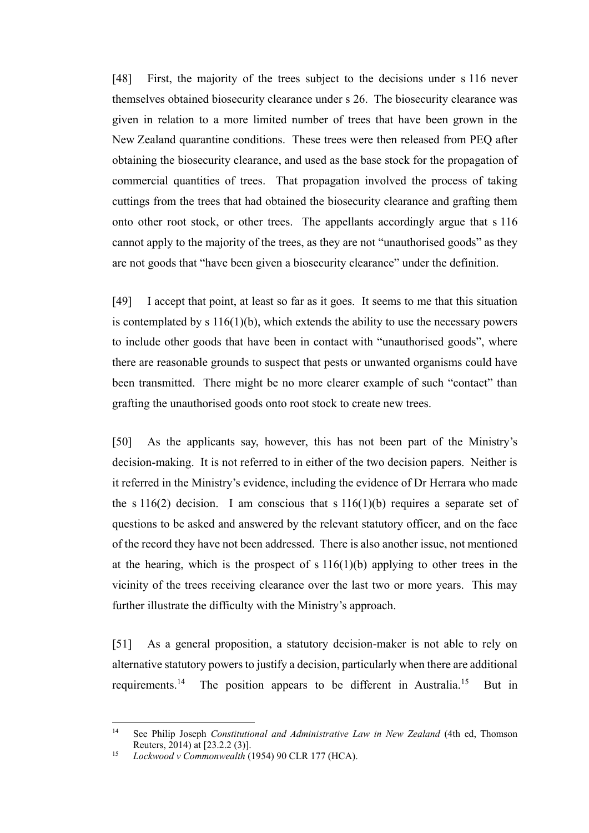[48] First, the majority of the trees subject to the decisions under s 116 never themselves obtained biosecurity clearance under s 26. The biosecurity clearance was given in relation to a more limited number of trees that have been grown in the New Zealand quarantine conditions. These trees were then released from PEQ after obtaining the biosecurity clearance, and used as the base stock for the propagation of commercial quantities of trees. That propagation involved the process of taking cuttings from the trees that had obtained the biosecurity clearance and grafting them onto other root stock, or other trees. The appellants accordingly argue that s 116 cannot apply to the majority of the trees, as they are not "unauthorised goods" as they are not goods that "have been given a biosecurity clearance" under the definition.

[49] I accept that point, at least so far as it goes. It seems to me that this situation is contemplated by s  $116(1)(b)$ , which extends the ability to use the necessary powers to include other goods that have been in contact with "unauthorised goods", where there are reasonable grounds to suspect that pests or unwanted organisms could have been transmitted. There might be no more clearer example of such "contact" than grafting the unauthorised goods onto root stock to create new trees.

[50] As the applicants say, however, this has not been part of the Ministry's decision-making. It is not referred to in either of the two decision papers. Neither is it referred in the Ministry's evidence, including the evidence of Dr Herrara who made the s  $116(2)$  decision. I am conscious that s  $116(1)(b)$  requires a separate set of questions to be asked and answered by the relevant statutory officer, and on the face of the record they have not been addressed. There is also another issue, not mentioned at the hearing, which is the prospect of s  $116(1)(b)$  applying to other trees in the vicinity of the trees receiving clearance over the last two or more years. This may further illustrate the difficulty with the Ministry's approach.

[51] As a general proposition, a statutory decision-maker is not able to rely on alternative statutory powers to justify a decision, particularly when there are additional requirements.<sup>14</sup> The position appears to be different in Australia.<sup>15</sup> But in

 $14$ <sup>14</sup> See Philip Joseph *Constitutional and Administrative Law in New Zealand* (4th ed, Thomson Reuters, 2014) at [23.2.2 (3)].

<sup>15</sup> *Lockwood v Commonwealth* (1954) 90 CLR 177 (HCA).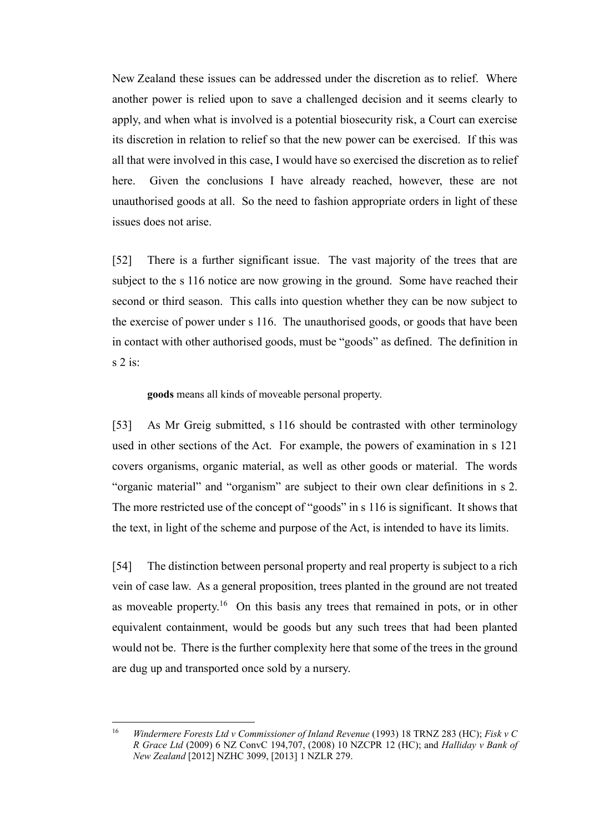New Zealand these issues can be addressed under the discretion as to relief. Where another power is relied upon to save a challenged decision and it seems clearly to apply, and when what is involved is a potential biosecurity risk, a Court can exercise its discretion in relation to relief so that the new power can be exercised. If this was all that were involved in this case, I would have so exercised the discretion as to relief here. Given the conclusions I have already reached, however, these are not unauthorised goods at all. So the need to fashion appropriate orders in light of these issues does not arise.

[52] There is a further significant issue. The vast majority of the trees that are subject to the s 116 notice are now growing in the ground. Some have reached their second or third season. This calls into question whether they can be now subject to the exercise of power under s 116. The unauthorised goods, or goods that have been in contact with other authorised goods, must be "goods" as defined. The definition in s 2 is:

**goods** means all kinds of moveable personal property.

[53] As Mr Greig submitted, s 116 should be contrasted with other terminology used in other sections of the Act. For example, the powers of examination in s 121 covers organisms, organic material, as well as other goods or material. The words "organic material" and "organism" are subject to their own clear definitions in s 2. The more restricted use of the concept of "goods" in s 116 is significant. It shows that the text, in light of the scheme and purpose of the Act, is intended to have its limits.

[54] The distinction between personal property and real property is subject to a rich vein of case law. As a general proposition, trees planted in the ground are not treated as moveable property.<sup>16</sup> On this basis any trees that remained in pots, or in other equivalent containment, would be goods but any such trees that had been planted would not be. There is the further complexity here that some of the trees in the ground are dug up and transported once sold by a nursery.

<sup>16</sup> <sup>16</sup> *Windermere Forests Ltd v Commissioner of Inland Revenue* (1993) 18 TRNZ 283 (HC); *Fisk v C R Grace Ltd* (2009) 6 NZ ConvC 194,707, (2008) 10 NZCPR 12 (HC); and *Halliday v Bank of New Zealand* [2012] NZHC 3099, [2013] 1 NZLR 279.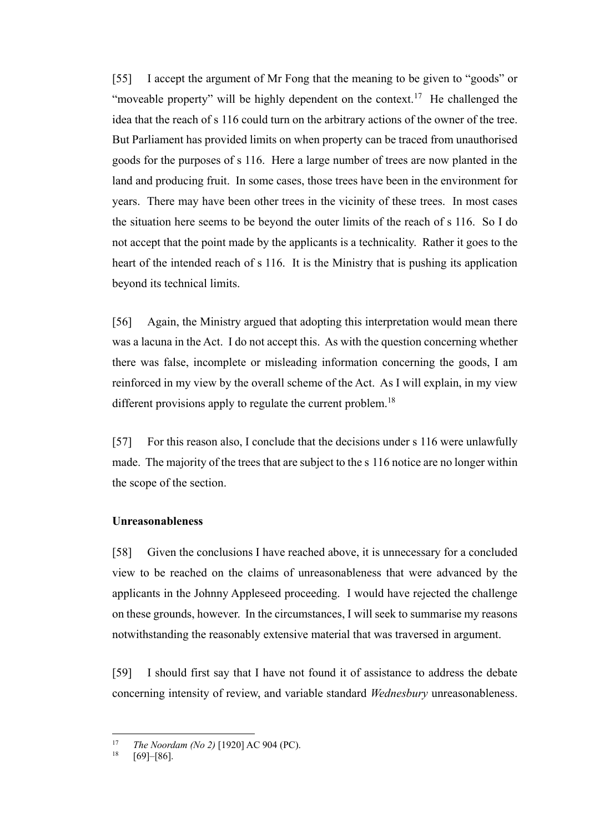[55] I accept the argument of Mr Fong that the meaning to be given to "goods" or "moveable property" will be highly dependent on the context.<sup>17</sup> He challenged the idea that the reach of s 116 could turn on the arbitrary actions of the owner of the tree. But Parliament has provided limits on when property can be traced from unauthorised goods for the purposes of s 116. Here a large number of trees are now planted in the land and producing fruit. In some cases, those trees have been in the environment for years. There may have been other trees in the vicinity of these trees. In most cases the situation here seems to be beyond the outer limits of the reach of s 116. So I do not accept that the point made by the applicants is a technicality. Rather it goes to the heart of the intended reach of s 116. It is the Ministry that is pushing its application beyond its technical limits.

[56] Again, the Ministry argued that adopting this interpretation would mean there was a lacuna in the Act. I do not accept this. As with the question concerning whether there was false, incomplete or misleading information concerning the goods, I am reinforced in my view by the overall scheme of the Act. As I will explain, in my view different provisions apply to regulate the current problem.<sup>18</sup>

[57] For this reason also, I conclude that the decisions under s 116 were unlawfully made. The majority of the trees that are subject to the s 116 notice are no longer within the scope of the section.

## **Unreasonableness**

<span id="page-21-0"></span>[58] Given the conclusions I have reached above, it is unnecessary for a concluded view to be reached on the claims of unreasonableness that were advanced by the applicants in the Johnny Appleseed proceeding. I would have rejected the challenge on these grounds, however. In the circumstances, I will seek to summarise my reasons notwithstanding the reasonably extensive material that was traversed in argument.

[59] I should first say that I have not found it of assistance to address the debate concerning intensity of review, and variable standard *Wednesbury* unreasonableness.

 $17$ <sup>17</sup> *The Noordam (No 2)* [1920] AC 904 (PC).

 $[69]$ – $[86]$ .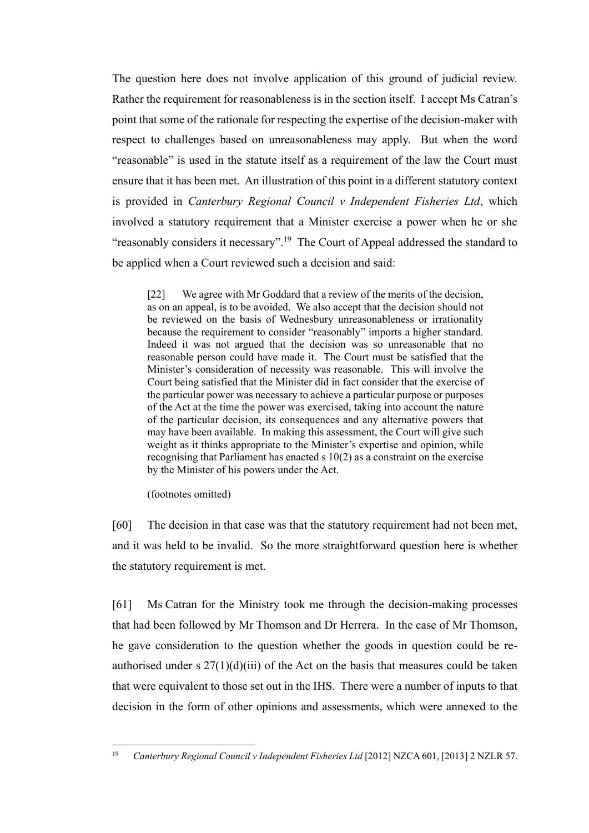The question here does not involve application of this ground of judicial review. Rather the requirement for reasonableness is in the section itself. I accept Ms Catran's point that some of the rationale for respecting the expertise of the decision-maker with respect to challenges based on unreasonableness may apply. But when the word "reasonable" is used in the statute itself as a requirement of the law the Court must ensure that it has been met. An illustration of this point in a different statutory context is provided in *Canterbury Regional Council v Independent Fisheries Ltd*, which involved a statutory requirement that a Minister exercise a power when he or she "reasonably considers it necessary".<sup>19</sup> The Court of Appeal addressed the standard to be applied when a Court reviewed such a decision and said:

[22] We agree with Mr Goddard that a review of the merits of the decision, as on an appeal, is to be avoided. We also accept that the decision should not be reviewed on the basis of Wednesbury unreasonableness or irrationality because the requirement to consider "reasonably" imports a higher standard. Indeed it was not argued that the decision was so unreasonable that no reasonable person could have made it. The Court must be satisfied that the Minister's consideration of necessity was reasonable. This will involve the Court being satisfied that the Minister did in fact consider that the exercise of the particular power was necessary to achieve a particular purpose or purposes of the Act at the time the power was exercised, taking into account the nature of the particular decision, its consequences and any alternative powers that may have been available. In making this assessment, the Court will give such weight as it thinks appropriate to the Minister's expertise and opinion, while recognising that Parliament has enacted s 10(2) as a constraint on the exercise by the Minister of his powers under the Act.

(footnotes omitted)

[60] The decision in that case was that the statutory requirement had not been met, and it was held to be invalid. So the more straightforward question here is whether the statutory requirement is met.

[61] Ms Catran for the Ministry took me through the decision-making processes that had been followed by Mr Thomson and Dr Herrera. In the case of Mr Thomson, he gave consideration to the question whether the goods in question could be reauthorised under s  $27(1)(d)(iii)$  of the Act on the basis that measures could be taken that were equivalent to those set out in the IHS. There were a number of inputs to that decision in the form of other opinions and assessments, which were annexed to the

 $\overline{a}$ <sup>19</sup> *Canterbury Regional Council v Independent Fisheries Ltd* [2012] NZCA 601, [2013] 2 NZLR 57.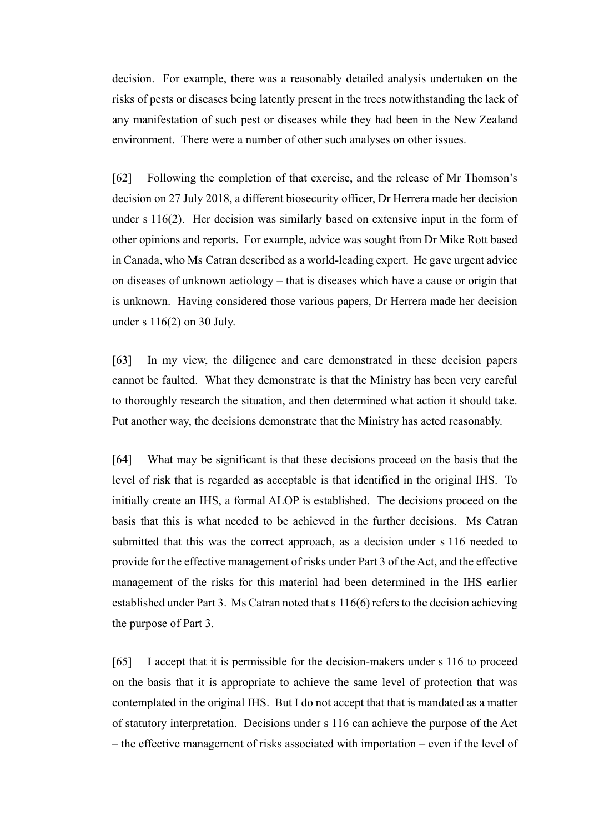decision. For example, there was a reasonably detailed analysis undertaken on the risks of pests or diseases being latently present in the trees notwithstanding the lack of any manifestation of such pest or diseases while they had been in the New Zealand environment. There were a number of other such analyses on other issues.

[62] Following the completion of that exercise, and the release of Mr Thomson's decision on 27 July 2018, a different biosecurity officer, Dr Herrera made her decision under s 116(2). Her decision was similarly based on extensive input in the form of other opinions and reports. For example, advice was sought from Dr Mike Rott based in Canada, who Ms Catran described as a world-leading expert. He gave urgent advice on diseases of unknown aetiology – that is diseases which have a cause or origin that is unknown. Having considered those various papers, Dr Herrera made her decision under s 116(2) on 30 July.

[63] In my view, the diligence and care demonstrated in these decision papers cannot be faulted. What they demonstrate is that the Ministry has been very careful to thoroughly research the situation, and then determined what action it should take. Put another way, the decisions demonstrate that the Ministry has acted reasonably.

[64] What may be significant is that these decisions proceed on the basis that the level of risk that is regarded as acceptable is that identified in the original IHS. To initially create an IHS, a formal ALOP is established. The decisions proceed on the basis that this is what needed to be achieved in the further decisions. Ms Catran submitted that this was the correct approach, as a decision under s 116 needed to provide for the effective management of risks under Part 3 of the Act, and the effective management of the risks for this material had been determined in the IHS earlier established under Part 3. Ms Catran noted that s 116(6) refers to the decision achieving the purpose of Part 3.

[65] I accept that it is permissible for the decision-makers under s 116 to proceed on the basis that it is appropriate to achieve the same level of protection that was contemplated in the original IHS. But I do not accept that that is mandated as a matter of statutory interpretation. Decisions under s 116 can achieve the purpose of the Act – the effective management of risks associated with importation – even if the level of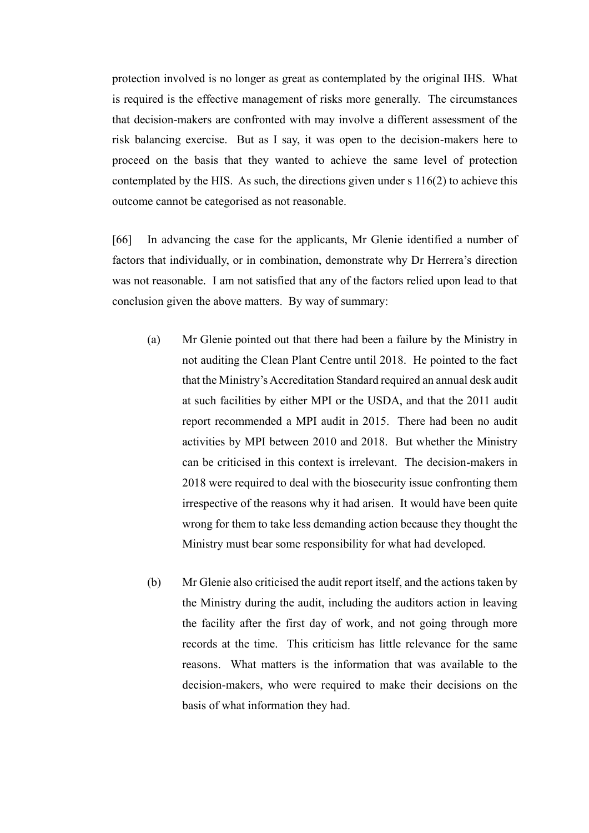protection involved is no longer as great as contemplated by the original IHS. What is required is the effective management of risks more generally. The circumstances that decision-makers are confronted with may involve a different assessment of the risk balancing exercise. But as I say, it was open to the decision-makers here to proceed on the basis that they wanted to achieve the same level of protection contemplated by the HIS. As such, the directions given under s 116(2) to achieve this outcome cannot be categorised as not reasonable.

[66] In advancing the case for the applicants, Mr Glenie identified a number of factors that individually, or in combination, demonstrate why Dr Herrera's direction was not reasonable. I am not satisfied that any of the factors relied upon lead to that conclusion given the above matters. By way of summary:

- (a) Mr Glenie pointed out that there had been a failure by the Ministry in not auditing the Clean Plant Centre until 2018. He pointed to the fact that the Ministry's Accreditation Standard required an annual desk audit at such facilities by either MPI or the USDA, and that the 2011 audit report recommended a MPI audit in 2015. There had been no audit activities by MPI between 2010 and 2018. But whether the Ministry can be criticised in this context is irrelevant. The decision-makers in 2018 were required to deal with the biosecurity issue confronting them irrespective of the reasons why it had arisen. It would have been quite wrong for them to take less demanding action because they thought the Ministry must bear some responsibility for what had developed.
- (b) Mr Glenie also criticised the audit report itself, and the actions taken by the Ministry during the audit, including the auditors action in leaving the facility after the first day of work, and not going through more records at the time. This criticism has little relevance for the same reasons. What matters is the information that was available to the decision-makers, who were required to make their decisions on the basis of what information they had.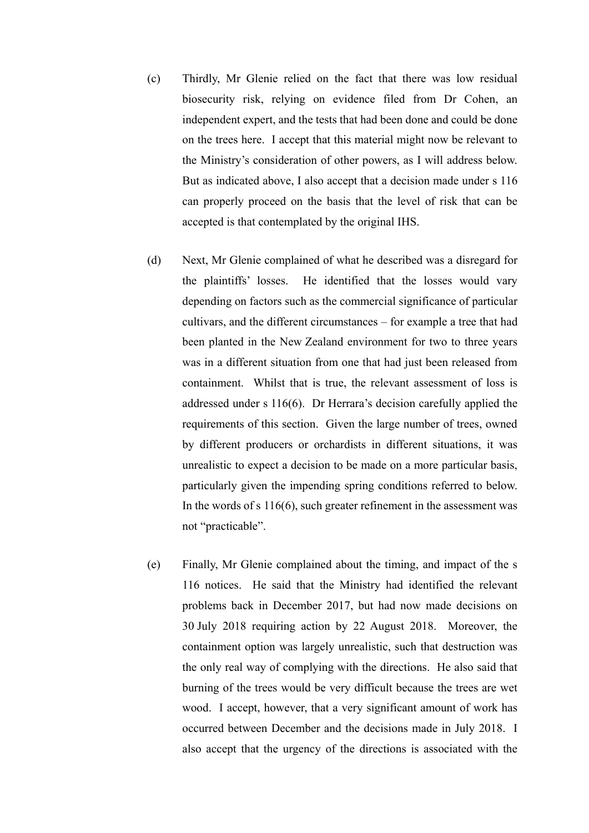- (c) Thirdly, Mr Glenie relied on the fact that there was low residual biosecurity risk, relying on evidence filed from Dr Cohen, an independent expert, and the tests that had been done and could be done on the trees here. I accept that this material might now be relevant to the Ministry's consideration of other powers, as I will address below. But as indicated above, I also accept that a decision made under s 116 can properly proceed on the basis that the level of risk that can be accepted is that contemplated by the original IHS.
- (d) Next, Mr Glenie complained of what he described was a disregard for the plaintiffs' losses. He identified that the losses would vary depending on factors such as the commercial significance of particular cultivars, and the different circumstances – for example a tree that had been planted in the New Zealand environment for two to three years was in a different situation from one that had just been released from containment. Whilst that is true, the relevant assessment of loss is addressed under s 116(6). Dr Herrara's decision carefully applied the requirements of this section. Given the large number of trees, owned by different producers or orchardists in different situations, it was unrealistic to expect a decision to be made on a more particular basis, particularly given the impending spring conditions referred to below. In the words of s 116(6), such greater refinement in the assessment was not "practicable".
- (e) Finally, Mr Glenie complained about the timing, and impact of the s 116 notices. He said that the Ministry had identified the relevant problems back in December 2017, but had now made decisions on 30 July 2018 requiring action by 22 August 2018. Moreover, the containment option was largely unrealistic, such that destruction was the only real way of complying with the directions. He also said that burning of the trees would be very difficult because the trees are wet wood. I accept, however, that a very significant amount of work has occurred between December and the decisions made in July 2018. I also accept that the urgency of the directions is associated with the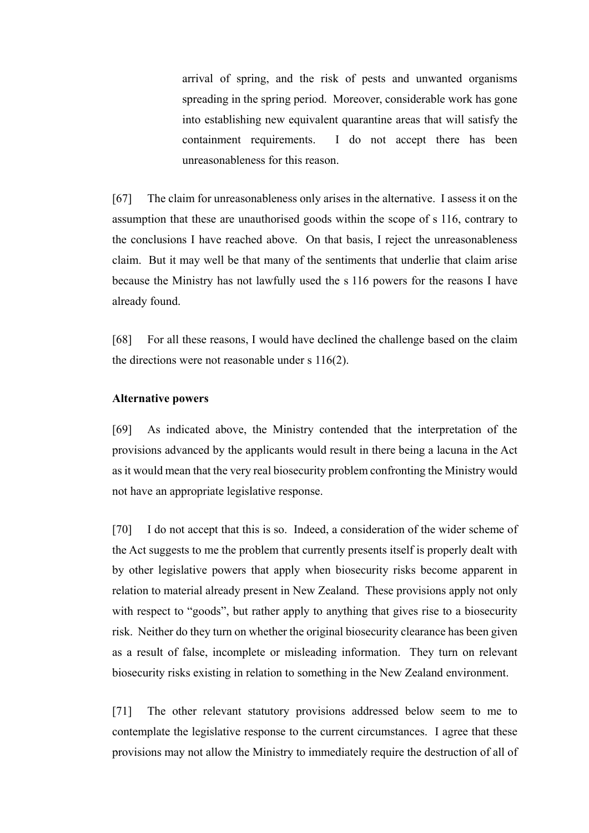arrival of spring, and the risk of pests and unwanted organisms spreading in the spring period. Moreover, considerable work has gone into establishing new equivalent quarantine areas that will satisfy the containment requirements. I do not accept there has been unreasonableness for this reason.

[67] The claim for unreasonableness only arises in the alternative. I assess it on the assumption that these are unauthorised goods within the scope of s 116, contrary to the conclusions I have reached above. On that basis, I reject the unreasonableness claim. But it may well be that many of the sentiments that underlie that claim arise because the Ministry has not lawfully used the s 116 powers for the reasons I have already found.

[68] For all these reasons, I would have declined the challenge based on the claim the directions were not reasonable under s 116(2).

## **Alternative powers**

<span id="page-26-0"></span>[69] As indicated above, the Ministry contended that the interpretation of the provisions advanced by the applicants would result in there being a lacuna in the Act as it would mean that the very real biosecurity problem confronting the Ministry would not have an appropriate legislative response.

[70] I do not accept that this is so. Indeed, a consideration of the wider scheme of the Act suggests to me the problem that currently presents itself is properly dealt with by other legislative powers that apply when biosecurity risks become apparent in relation to material already present in New Zealand. These provisions apply not only with respect to "goods", but rather apply to anything that gives rise to a biosecurity risk. Neither do they turn on whether the original biosecurity clearance has been given as a result of false, incomplete or misleading information. They turn on relevant biosecurity risks existing in relation to something in the New Zealand environment.

[71] The other relevant statutory provisions addressed below seem to me to contemplate the legislative response to the current circumstances. I agree that these provisions may not allow the Ministry to immediately require the destruction of all of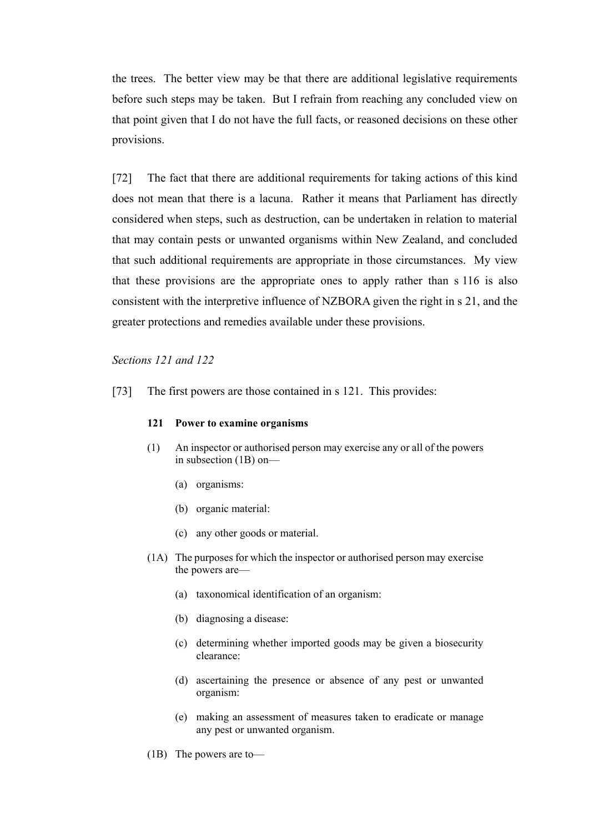the trees. The better view may be that there are additional legislative requirements before such steps may be taken. But I refrain from reaching any concluded view on that point given that I do not have the full facts, or reasoned decisions on these other provisions.

[72] The fact that there are additional requirements for taking actions of this kind does not mean that there is a lacuna. Rather it means that Parliament has directly considered when steps, such as destruction, can be undertaken in relation to material that may contain pests or unwanted organisms within New Zealand, and concluded that such additional requirements are appropriate in those circumstances. My view that these provisions are the appropriate ones to apply rather than s 116 is also consistent with the interpretive influence of NZBORA given the right in s 21, and the greater protections and remedies available under these provisions.

#### *Sections 121 and 122*

<span id="page-27-0"></span>[73] The first powers are those contained in s 121. This provides:

#### **121 Power to examine organisms**

- (1) An inspector or authorised person may exercise any or all of the powers in subsection (1B) on—
	- (a) organisms:
	- (b) organic material:
	- (c) any other goods or material.
- (1A) The purposes for which the inspector or authorised person may exercise the powers are—
	- (a) taxonomical identification of an organism:
	- (b) diagnosing a disease:
	- (c) determining whether imported goods may be given a biosecurity clearance:
	- (d) ascertaining the presence or absence of any pest or unwanted organism:
	- (e) making an assessment of measures taken to eradicate or manage any pest or unwanted organism.
- (1B) The powers are to—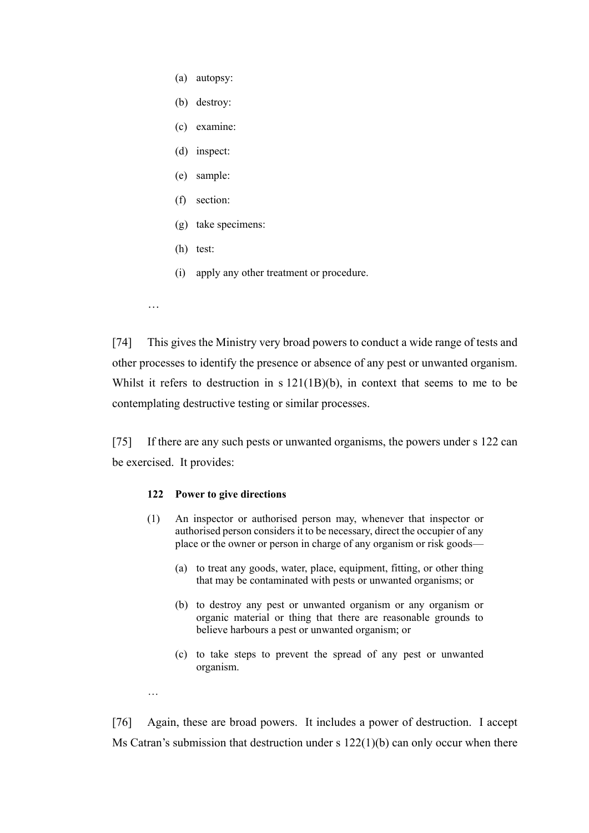- (a) autopsy:
- (b) destroy:
- (c) examine:
- (d) inspect:
- (e) sample:
- (f) section:
- (g) take specimens:
- (h) test:
- (i) apply any other treatment or procedure.
- …

…

[74] This gives the Ministry very broad powers to conduct a wide range of tests and other processes to identify the presence or absence of any pest or unwanted organism. Whilst it refers to destruction in s 121(1B)(b), in context that seems to me to be contemplating destructive testing or similar processes.

[75] If there are any such pests or unwanted organisms, the powers under s 122 can be exercised. It provides:

#### **122 Power to give directions**

- (1) An inspector or authorised person may, whenever that inspector or authorised person considers it to be necessary, direct the occupier of any place or the owner or person in charge of any organism or risk goods—
	- (a) to treat any goods, water, place, equipment, fitting, or other thing that may be contaminated with pests or unwanted organisms; or
	- (b) to destroy any pest or unwanted organism or any organism or organic material or thing that there are reasonable grounds to believe harbours a pest or unwanted organism; or
	- (c) to take steps to prevent the spread of any pest or unwanted organism.

[76] Again, these are broad powers. It includes a power of destruction. I accept Ms Catran's submission that destruction under s 122(1)(b) can only occur when there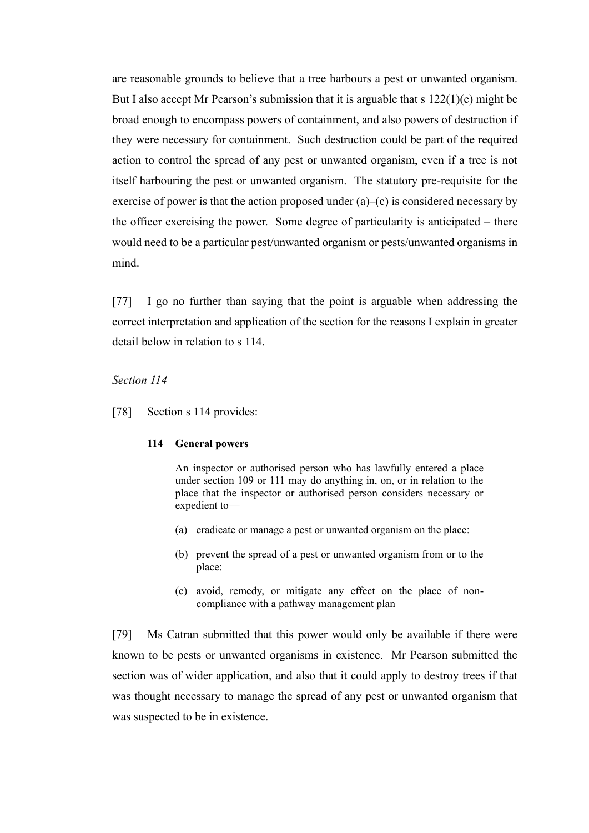are reasonable grounds to believe that a tree harbours a pest or unwanted organism. But I also accept Mr Pearson's submission that it is arguable that s  $122(1)(c)$  might be broad enough to encompass powers of containment, and also powers of destruction if they were necessary for containment. Such destruction could be part of the required action to control the spread of any pest or unwanted organism, even if a tree is not itself harbouring the pest or unwanted organism. The statutory pre-requisite for the exercise of power is that the action proposed under (a)–(c) is considered necessary by the officer exercising the power. Some degree of particularity is anticipated – there would need to be a particular pest/unwanted organism or pests/unwanted organisms in mind.

[77] I go no further than saying that the point is arguable when addressing the correct interpretation and application of the section for the reasons I explain in greater detail below in relation to s 114.

#### *Section 114*

<span id="page-29-0"></span>[78] Section s 114 provides:

#### **114 General powers**

An inspector or authorised person who has lawfully entered a place under section 109 or 111 may do anything in, on, or in relation to the place that the inspector or authorised person considers necessary or expedient to—

- (a) eradicate or manage a pest or unwanted organism on the place:
- (b) prevent the spread of a pest or unwanted organism from or to the place:
- (c) avoid, remedy, or mitigate any effect on the place of noncompliance with a pathway management plan

[79] Ms Catran submitted that this power would only be available if there were known to be pests or unwanted organisms in existence. Mr Pearson submitted the section was of wider application, and also that it could apply to destroy trees if that was thought necessary to manage the spread of any pest or unwanted organism that was suspected to be in existence.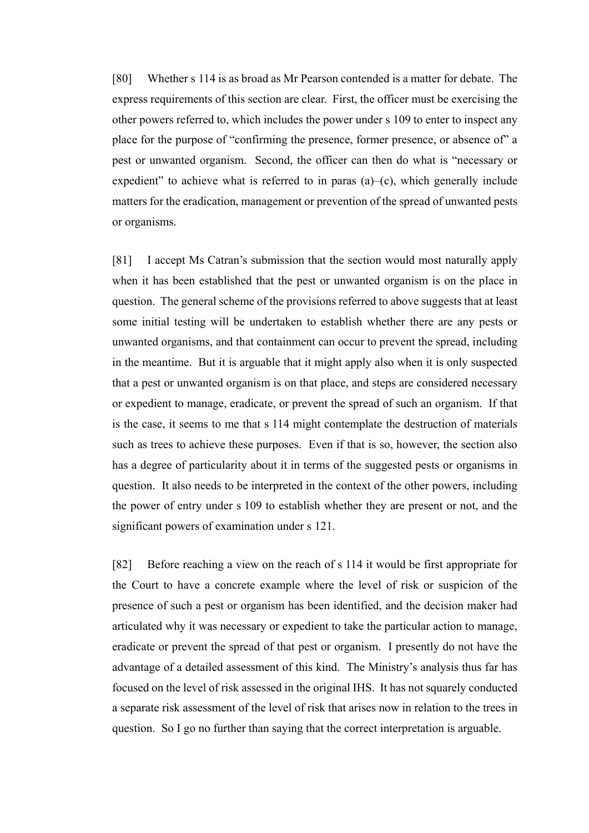[80] Whether s 114 is as broad as Mr Pearson contended is a matter for debate. The express requirements of this section are clear. First, the officer must be exercising the other powers referred to, which includes the power under s 109 to enter to inspect any place for the purpose of "confirming the presence, former presence, or absence of" a pest or unwanted organism. Second, the officer can then do what is "necessary or expedient" to achieve what is referred to in paras  $(a)$ – $(c)$ , which generally include matters for the eradication, management or prevention of the spread of unwanted pests or organisms.

[81] I accept Ms Catran's submission that the section would most naturally apply when it has been established that the pest or unwanted organism is on the place in question. The general scheme of the provisions referred to above suggests that at least some initial testing will be undertaken to establish whether there are any pests or unwanted organisms, and that containment can occur to prevent the spread, including in the meantime. But it is arguable that it might apply also when it is only suspected that a pest or unwanted organism is on that place, and steps are considered necessary or expedient to manage, eradicate, or prevent the spread of such an organism. If that is the case, it seems to me that s 114 might contemplate the destruction of materials such as trees to achieve these purposes. Even if that is so, however, the section also has a degree of particularity about it in terms of the suggested pests or organisms in question. It also needs to be interpreted in the context of the other powers, including the power of entry under s 109 to establish whether they are present or not, and the significant powers of examination under s 121.

[82] Before reaching a view on the reach of s 114 it would be first appropriate for the Court to have a concrete example where the level of risk or suspicion of the presence of such a pest or organism has been identified, and the decision maker had articulated why it was necessary or expedient to take the particular action to manage, eradicate or prevent the spread of that pest or organism. I presently do not have the advantage of a detailed assessment of this kind. The Ministry's analysis thus far has focused on the level of risk assessed in the original IHS. It has not squarely conducted a separate risk assessment of the level of risk that arises now in relation to the trees in question. So I go no further than saying that the correct interpretation is arguable.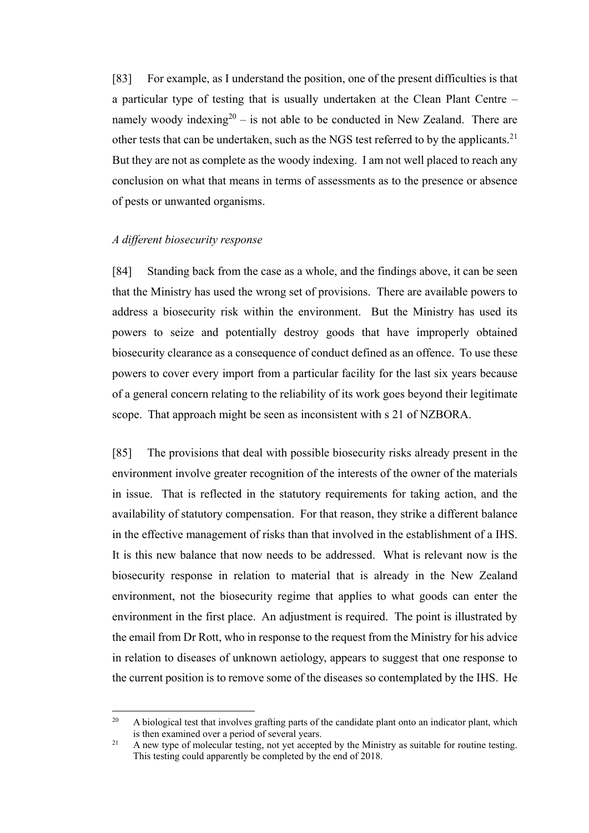[83] For example, as I understand the position, one of the present difficulties is that a particular type of testing that is usually undertaken at the Clean Plant Centre – namely woody indexing<sup>20</sup> – is not able to be conducted in New Zealand. There are other tests that can be undertaken, such as the NGS test referred to by the applicants.<sup>21</sup> But they are not as complete as the woody indexing. I am not well placed to reach any conclusion on what that means in terms of assessments as to the presence or absence of pests or unwanted organisms.

## *A different biosecurity response*

<span id="page-31-0"></span>[84] Standing back from the case as a whole, and the findings above, it can be seen that the Ministry has used the wrong set of provisions. There are available powers to address a biosecurity risk within the environment. But the Ministry has used its powers to seize and potentially destroy goods that have improperly obtained biosecurity clearance as a consequence of conduct defined as an offence. To use these powers to cover every import from a particular facility for the last six years because of a general concern relating to the reliability of its work goes beyond their legitimate scope. That approach might be seen as inconsistent with s 21 of NZBORA.

[85] The provisions that deal with possible biosecurity risks already present in the environment involve greater recognition of the interests of the owner of the materials in issue. That is reflected in the statutory requirements for taking action, and the availability of statutory compensation. For that reason, they strike a different balance in the effective management of risks than that involved in the establishment of a IHS. It is this new balance that now needs to be addressed. What is relevant now is the biosecurity response in relation to material that is already in the New Zealand environment, not the biosecurity regime that applies to what goods can enter the environment in the first place. An adjustment is required. The point is illustrated by the email from Dr Rott, who in response to the request from the Ministry for his advice in relation to diseases of unknown aetiology, appears to suggest that one response to the current position is to remove some of the diseases so contemplated by the IHS. He

 $20$ <sup>20</sup> A biological test that involves grafting parts of the candidate plant onto an indicator plant, which is then examined over a period of several years.

<sup>&</sup>lt;sup>21</sup> A new type of molecular testing, not yet accepted by the Ministry as suitable for routine testing. This testing could apparently be completed by the end of 2018.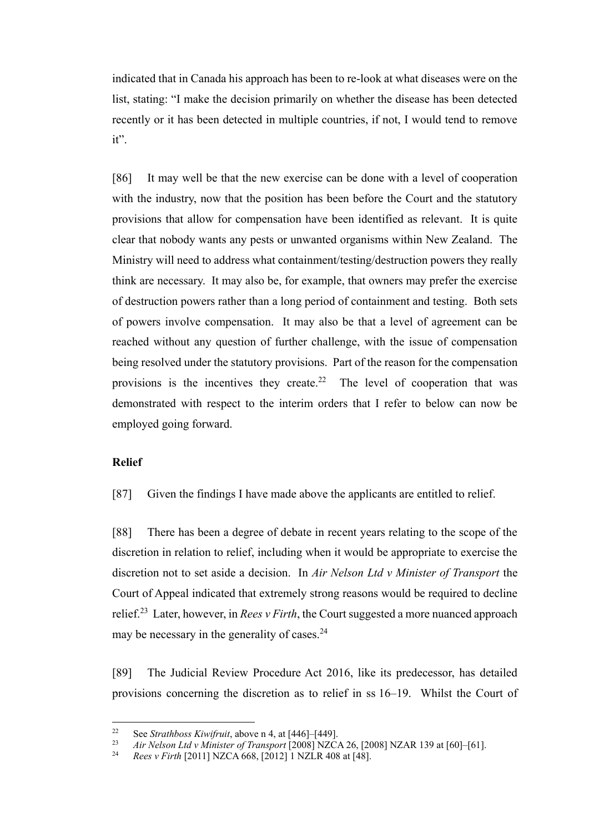indicated that in Canada his approach has been to re-look at what diseases were on the list, stating: "I make the decision primarily on whether the disease has been detected recently or it has been detected in multiple countries, if not, I would tend to remove it".

<span id="page-32-1"></span>[86] It may well be that the new exercise can be done with a level of cooperation with the industry, now that the position has been before the Court and the statutory provisions that allow for compensation have been identified as relevant. It is quite clear that nobody wants any pests or unwanted organisms within New Zealand. The Ministry will need to address what containment/testing/destruction powers they really think are necessary. It may also be, for example, that owners may prefer the exercise of destruction powers rather than a long period of containment and testing. Both sets of powers involve compensation. It may also be that a level of agreement can be reached without any question of further challenge, with the issue of compensation being resolved under the statutory provisions. Part of the reason for the compensation provisions is the incentives they create.<sup>22</sup> The level of cooperation that was demonstrated with respect to the interim orders that I refer to below can now be employed going forward.

# **Relief**

<span id="page-32-0"></span>[87] Given the findings I have made above the applicants are entitled to relief.

[88] There has been a degree of debate in recent years relating to the scope of the discretion in relation to relief, including when it would be appropriate to exercise the discretion not to set aside a decision. In *Air Nelson Ltd v Minister of Transport* the Court of Appeal indicated that extremely strong reasons would be required to decline relief.<sup>23</sup> Later, however, in *Rees v Firth*, the Court suggested a more nuanced approach may be necessary in the generality of cases.<sup>24</sup>

[89] The Judicial Review Procedure Act 2016, like its predecessor, has detailed provisions concerning the discretion as to relief in ss 16–19. Whilst the Court of

 $22$ <sup>22</sup> See *Strathboss Kiwifruit*, above n [4,](#page-2-0) at [446]–[449].

<sup>23</sup> *Air Nelson Ltd v Minister of Transport*  $[2008]$  NZCA 26,  $[2008]$  NZAR 139 at  $[60]$ – $[61]$ .<br>
24 *Page y Firth* [2011] NZCA 668, [2012] 1 NZLP 408 at [48]

<sup>24</sup> *Rees v Firth* [2011] NZCA 668, [2012] 1 NZLR 408 at [48].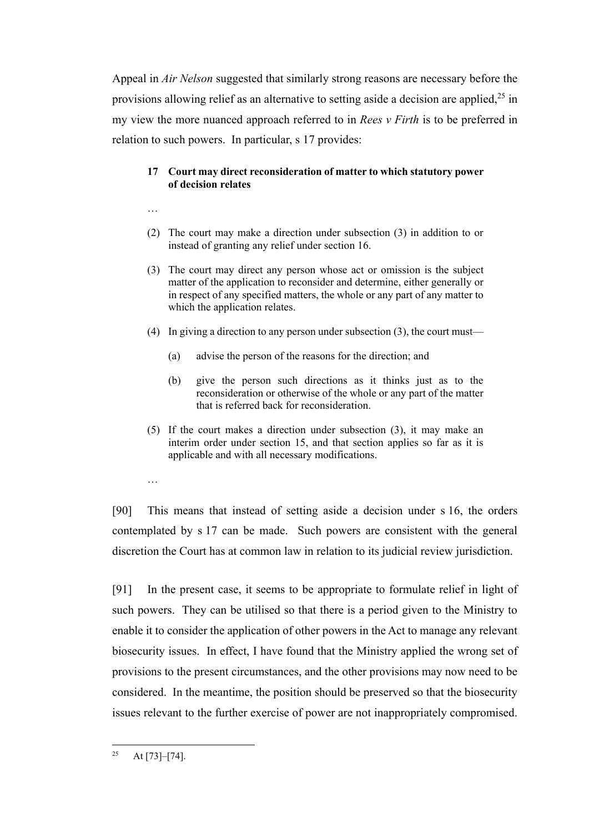Appeal in *Air Nelson* suggested that similarly strong reasons are necessary before the provisions allowing relief as an alternative to setting aside a decision are applied,  $2^5$  in my view the more nuanced approach referred to in *Rees v Firth* is to be preferred in relation to such powers. In particular, s 17 provides:

# **17 Court may direct reconsideration of matter to which statutory power of decision relates**

- …
- (2) The court may make a direction under subsection (3) in addition to or instead of granting any relief under section 16.
- (3) The court may direct any person whose act or omission is the subject matter of the application to reconsider and determine, either generally or in respect of any specified matters, the whole or any part of any matter to which the application relates.
- (4) In giving a direction to any person under subsection (3), the court must—
	- (a) advise the person of the reasons for the direction; and
	- (b) give the person such directions as it thinks just as to the reconsideration or otherwise of the whole or any part of the matter that is referred back for reconsideration.
- (5) If the court makes a direction under subsection (3), it may make an interim order under section 15, and that section applies so far as it is applicable and with all necessary modifications.
- …

[90] This means that instead of setting aside a decision under s 16, the orders contemplated by s 17 can be made. Such powers are consistent with the general discretion the Court has at common law in relation to its judicial review jurisdiction.

[91] In the present case, it seems to be appropriate to formulate relief in light of such powers. They can be utilised so that there is a period given to the Ministry to enable it to consider the application of other powers in the Act to manage any relevant biosecurity issues. In effect, I have found that the Ministry applied the wrong set of provisions to the present circumstances, and the other provisions may now need to be considered. In the meantime, the position should be preserved so that the biosecurity issues relevant to the further exercise of power are not inappropriately compromised.

 $\overline{a}$ <sup>25</sup> At [73]–[74].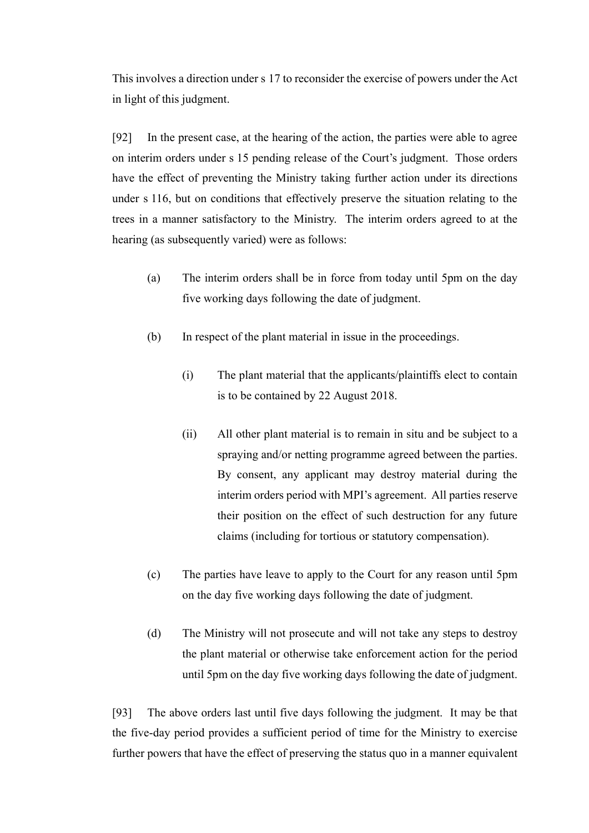This involves a direction under s 17 to reconsider the exercise of powers under the Act in light of this judgment.

[92] In the present case, at the hearing of the action, the parties were able to agree on interim orders under s 15 pending release of the Court's judgment. Those orders have the effect of preventing the Ministry taking further action under its directions under s 116, but on conditions that effectively preserve the situation relating to the trees in a manner satisfactory to the Ministry. The interim orders agreed to at the hearing (as subsequently varied) were as follows:

- (a) The interim orders shall be in force from today until 5pm on the day five working days following the date of judgment.
- (b) In respect of the plant material in issue in the proceedings.
	- (i) The plant material that the applicants/plaintiffs elect to contain is to be contained by 22 August 2018.
	- (ii) All other plant material is to remain in situ and be subject to a spraying and/or netting programme agreed between the parties. By consent, any applicant may destroy material during the interim orders period with MPI's agreement. All parties reserve their position on the effect of such destruction for any future claims (including for tortious or statutory compensation).
- (c) The parties have leave to apply to the Court for any reason until 5pm on the day five working days following the date of judgment.
- (d) The Ministry will not prosecute and will not take any steps to destroy the plant material or otherwise take enforcement action for the period until 5pm on the day five working days following the date of judgment.

[93] The above orders last until five days following the judgment. It may be that the five-day period provides a sufficient period of time for the Ministry to exercise further powers that have the effect of preserving the status quo in a manner equivalent